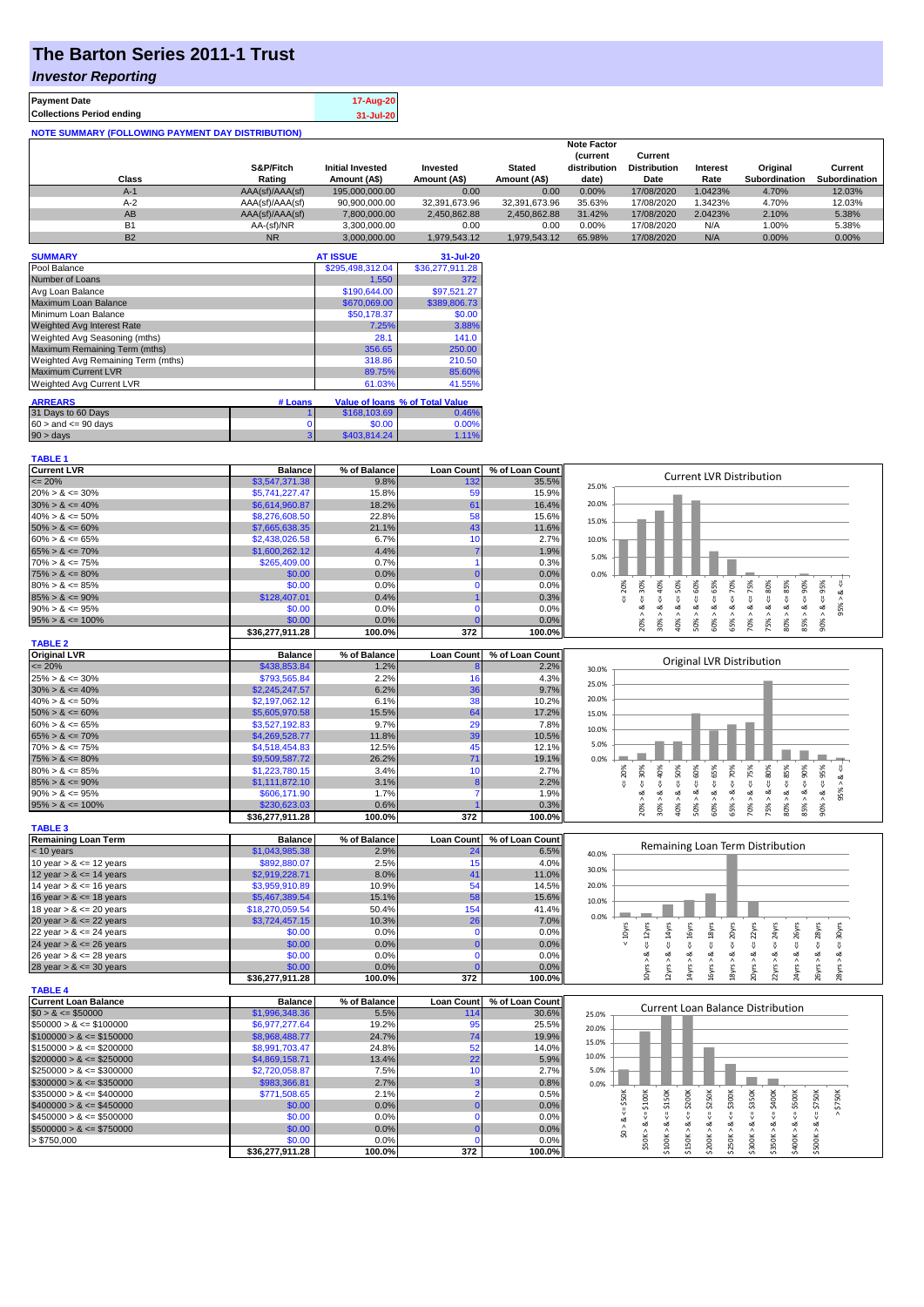# **The Barton Series 2011-1 Trust**

## *Investor Reporting*

| <b>Payment Date</b>                                      | 17-Aug-20 |
|----------------------------------------------------------|-----------|
| <b>Collections Period ending</b>                         | 31-Jul-20 |
| <b>NOTE SUMMARY (FOLLOWING PAYMENT DAY DISTRIBUTION)</b> |           |

|           |                 |                         |               |               | <b>Note Factor</b> |                     |                 |                      |               |
|-----------|-----------------|-------------------------|---------------|---------------|--------------------|---------------------|-----------------|----------------------|---------------|
|           |                 |                         |               |               | <b>Current</b>     | Current             |                 |                      |               |
|           | S&P/Fitch       | <b>Initial Invested</b> | Invested      | <b>Stated</b> | distribution       | <b>Distribution</b> | <b>Interest</b> | Original             | Current       |
| Class     | Rating          | Amount (A\$)            | Amount (A\$)  | Amount (A\$)  | date)              | Date                | Rate            | <b>Subordination</b> | Subordination |
| $A-1$     | AAA(sf)/AAA(sf) | 195,000,000.00          | 0.00          | 0.00          | 0.00%              | 17/08/2020          | 1.0423%         | 4.70%                | 12.03%        |
| $A-2$     | AAA(sf)/AAA(sf) | 90,900,000.00           | 32.391.673.96 | 32.391.673.96 | 35.63%             | 17/08/2020          | .3423%          | 4.70%                | 12.03%        |
| AB        | AAA(sf)/AAA(sf) | 7.800.000.00            | 2.450.862.88  | 2.450.862.88  | 31.42%             | 17/08/2020          | 2.0423%         | 2.10%                | 5.38%         |
| <b>B1</b> | AA-(sf)/NR      | 3.300.000.00            | 0.00          | 0.00          | 0.00%              | 17/08/2020          | N/A             | 1.00%                | 5.38%         |
| <b>B2</b> | <b>NR</b>       | 3.000.000.00            | 1.979.543.12  | 1.979.543.12  | 65.98%             | 17/08/2020          | N/A             | 0.00%                | 0.00%         |

| <b>SUMMARY</b>                     |          | <b>AT ISSUE</b>  | 31-Jul-20                       |
|------------------------------------|----------|------------------|---------------------------------|
| Pool Balance                       |          | \$295,498,312.04 | \$36,277,911.28                 |
| Number of Loans                    |          | 1,550            | 372                             |
| Avg Loan Balance                   |          | \$190,644.00     | \$97,521.27                     |
| Maximum Loan Balance               |          | \$670,069.00     | \$389,806.73                    |
| Minimum Loan Balance               |          | \$50,178.37      | \$0.00                          |
| <b>Weighted Avg Interest Rate</b>  |          | 7.25%            | 3.88%                           |
| Weighted Avg Seasoning (mths)      |          | 28.1             | 141.0                           |
| Maximum Remaining Term (mths)      |          | 356.65           | 250.00                          |
| Weighted Avg Remaining Term (mths) |          | 318.86           | 210.50                          |
| <b>Maximum Current LVR</b>         |          | 89.75%           | 85.60%                          |
| <b>Weighted Avg Current LVR</b>    |          | 61.03%           | 41.55%                          |
| <b>ARREARS</b>                     | # Loans  |                  | Value of Ioans % of Total Value |
| 31 Days to 60 Days                 |          | \$168,103.69     | 0.46%                           |
| $60 >$ and $\leq 90$ days          | $\Omega$ | \$0.00           | 0.00%                           |
| 90 > days                          | 3        | \$403,814.24     | 1.11%                           |

| <b>TABLE 1</b>              |                           |                |                   |                 |                                                                                                                                                                                                                    |
|-----------------------------|---------------------------|----------------|-------------------|-----------------|--------------------------------------------------------------------------------------------------------------------------------------------------------------------------------------------------------------------|
| <b>Current LVR</b>          | <b>Balance</b>            | % of Balance   | <b>Loan Count</b> | % of Loan Count | <b>Current LVR Distribution</b>                                                                                                                                                                                    |
| $\epsilon = 20\%$           | \$3,547,371.38            | 9.8%           | 132               | 35.5%           | 25.0%                                                                                                                                                                                                              |
| $20\% > 8 \le 30\%$         | \$5,741,227.47            | 15.8%          | 59                | 15.9%           |                                                                                                                                                                                                                    |
| $30\% > 8 \le 40\%$         | \$6,614,960.87            | 18.2%          | 61                | 16.4%           | 20.0%                                                                                                                                                                                                              |
| $40\% > 8 \le 50\%$         | \$8,276,608.50            | 22.8%          | 58                | 15.6%           | 15.0%                                                                                                                                                                                                              |
| $50\% > 8 \le 60\%$         | \$7,665,638.35            | 21.1%          | 43                | 11.6%           |                                                                                                                                                                                                                    |
| $60\% > 8 \le 65\%$         | \$2,438,026.58            | 6.7%           | 10                | 2.7%            | 10.0%                                                                                                                                                                                                              |
| $65\% > 8 \le 70\%$         | \$1,600,262.12            | 4.4%           |                   | 1.9%            | 5.0%                                                                                                                                                                                                               |
| $70\% > 8 \le 75\%$         | \$265,409.00              | 0.7%           |                   | 0.3%            |                                                                                                                                                                                                                    |
| $75\% > 8 \le 80\%$         | \$0.00                    | 0.0%           | $\mathbf 0$       | 0.0%            | 0.0%                                                                                                                                                                                                               |
| $80\% > 8 \le 85\%$         | \$0.00                    | 0.0%           | $\mathbf 0$       | 0.0%            | $4 - 40\%$<br>$\epsilon = 50\%$<br>$<=65\%$<br>$4 = 70\%$<br>$<=80\%$<br>95%<br>20%                                                                                                                                |
| $85\% > 8 \le 90\%$         | \$128,407.01              | 0.4%           |                   | 0.3%            | $4 = 30%$<br>$<=75\%$<br>ø<br>$\overset{\text{\tiny{II}}}{\mathsf{v}}$                                                                                                                                             |
| $90\% > 8 \le 95\%$         | \$0.00                    | 0.0%           | $\Omega$          | 0.0%            | 95%<br>ವ<br>త<br>ವ<br>ಹ                                                                                                                                                                                            |
| $95\% > 8 \le 100\%$        | \$0.00                    | 0.0%           |                   | 0.0%            | $50\% > 8 <= 60\%$<br>$85% > 8 <= 90%$<br>$80\% > 8 <= 85\%$<br>$30\% > 8.$<br>$60\% > 8.$<br>$90\% > 8.$<br>40% ><br>65% ><br>70% ><br>75% ><br>20%                                                               |
|                             | \$36,277,911.28           | 100.0%         | 372               | 100.0%          |                                                                                                                                                                                                                    |
| <b>TABLE 2</b>              |                           |                |                   |                 |                                                                                                                                                                                                                    |
| <b>Original LVR</b>         | <b>Balance</b>            | % of Balance   | <b>Loan Count</b> | % of Loan Count |                                                                                                                                                                                                                    |
| $= 20%$                     | \$438,853,84              | 1.2%           |                   | 2.2%            | Original LVR Distribution<br>30.0%                                                                                                                                                                                 |
| $25\% > 8 \le 30\%$         | \$793,565.84              | 2.2%           | 16                | 4.3%            |                                                                                                                                                                                                                    |
| $30\% > 8 \le 40\%$         | \$2,245,247.57            | 6.2%           | 36                | 9.7%            | 25.0%                                                                                                                                                                                                              |
| $40\% > 8 \le 50\%$         | \$2,197,062.12            | 6.1%           | 38                | 10.2%           | 20.0%                                                                                                                                                                                                              |
| $50\% > 8 \le 60\%$         | \$5,605,970.58            | 15.5%          | 64                | 17.2%           | 15.0%                                                                                                                                                                                                              |
| $60\% > 8 \le 65\%$         | \$3,527,192.83            | 9.7%           | 29                | 7.8%            |                                                                                                                                                                                                                    |
| $65\% > 8 \le 70\%$         | \$4,269,528.77            | 11.8%          | 39                | 10.5%           | 10.0%                                                                                                                                                                                                              |
| $70\% > 8 \le 75\%$         | \$4,518,454.83            | 12.5%          | 45                | 12.1%           | 5.0%                                                                                                                                                                                                               |
| $75\% > 8 \le 80\%$         | \$9,509,587.72            | 26.2%          | 71                | 19.1%           | 0.0%                                                                                                                                                                                                               |
| $80\% > 8 \le 85\%$         | \$1,223,780.15            | 3.4%           | 10                | 2.7%            | 95%<br>50%<br>60%<br>65%<br>70%<br>75%<br>80%<br>85%<br>30%<br>20%                                                                                                                                                 |
| $85\% > 8 \le 90\%$         | \$1,111,872.10            | 3.1%           | $\mathbf{R}$      | 2.2%            | ವ<br>$\overset{\shortparallel}{\mathsf{v}}$<br>V<br>$\sqrt{2}$<br>$\stackrel{\scriptscriptstyle{0}}{\mathsf{v}}$<br>V<br>V                                                                                         |
| $90\% > 8 \le 95\%$         | \$606,171.90              | 1.7%           | $\overline{7}$    | 1.9%            | $8 - 90%$<br>$8 - 40%$<br>8 <<br>8 < 1<br>95% ><br>ø<br>ઌ<br>ವ<br>ವ<br>ವ                                                                                                                                           |
| $95\% > 8 \le 100\%$        | \$230,623.03              | 0.6%           |                   | 0.3%            | $80\% > 8 <$<br>$60\% > 8.$<br>30% ><br>40% ><br>50% ><br>65% ><br>70% ><br>75%<br>85% ><br>90% ><br>20% >                                                                                                         |
|                             | \$36,277,911.28           | 100.0%         | 372               | 100.0%          |                                                                                                                                                                                                                    |
| <b>TABLE 3</b>              |                           |                |                   |                 |                                                                                                                                                                                                                    |
| <b>Remaining Loan Term</b>  | <b>Balance</b>            | % of Balance   | <b>Loan Count</b> | % of Loan Count |                                                                                                                                                                                                                    |
| $<$ 10 years                | \$1,043,985.38            | 2.9%           | 24                | 6.5%            | Remaining Loan Term Distribution<br>40.0%                                                                                                                                                                          |
| 10 year $> 8 \le 12$ years  | \$892,880.07              | 2.5%           | 15                | 4.0%            |                                                                                                                                                                                                                    |
| 12 year $> 8 \le 14$ years  | \$2,919,228.71            | 8.0%           | 41                | 11.0%           | 30.0%                                                                                                                                                                                                              |
| 14 year $> 8 \le 16$ years  | \$3,959,910.89            | 10.9%          | 54                | 14.5%           | 20.0%                                                                                                                                                                                                              |
| 16 year $> 8 \le 18$ years  | \$5,467,389.54            | 15.1%          | 58                | 15.6%           | 10.0%                                                                                                                                                                                                              |
| 18 year $> 8 \le 20$ years  | \$18,270,059.54           | 50.4%          | 154               | 41.4%           |                                                                                                                                                                                                                    |
| 20 year $> 8 \le 22$ years  | \$3,724,457.15            | 10.3%          | 26                | 7.0%            | 0.0%                                                                                                                                                                                                               |
| 22 year $> 8 \le 24$ years  | \$0.00                    | 0.0%           | $\mathbf 0$       | 0.0%            | $\leq$ = 18yrs<br>$\epsilon$ = 22 $\gamma$ rs<br>$< 10$ yrs<br>$\epsilon$ = 12 $\gamma$ rs<br>$\leq$ 14 $\gamma$ rs<br>$\leq 16$ yrs<br>$\leq 20$ yrs<br>$\leq$ = 24 $\gamma$ rs<br>$\leq$ 26yrs<br>28yrs<br>30yrs |
| 24 year $> 8 \le 26$ years  | \$0.00                    | 0.0%           | $\Omega$          | 0.0%            | IJ,<br>IJ                                                                                                                                                                                                          |
| 26 year $> 8 \le 28$ years  | \$0.00                    | 0.0%           | $\mathbf 0$       | 0.0%            | ্ষ্ঠ                                                                                                                                                                                                               |
| 28 year $> 8 \le 30$ years  | \$0.00                    | 0.0%           |                   | 0.0%            | 12yrs > 8<br>14yrs > 8<br>18yrs > 8                                                                                                                                                                                |
|                             | \$36,277,911.28           | 100.0%         | 372               | 100.0%          | 20yrs > 8<br>22yrs > 8<br>24yrs > 8<br>16yrs > 8.<br>26yrs > 8<br>28yrs > 8<br>LOyrs                                                                                                                               |
| <b>TABLE 4</b>              |                           |                |                   |                 |                                                                                                                                                                                                                    |
| <b>Current Loan Balance</b> | <b>Balance</b>            | % of Balance   | <b>Loan Count</b> | % of Loan Count |                                                                                                                                                                                                                    |
| $$0 > 8 \le $50000$         | \$1,996,348.36            | 5.5%           | 114               | 30.6%           | <b>Current Loan Balance Distribution</b><br>25.0%                                                                                                                                                                  |
| $$50000 > 8 \le $100000$    | \$6,977,277.64            | 19.2%          | 95                | 25.5%           |                                                                                                                                                                                                                    |
| $$100000 > 8 \leq $150000$  | \$8,968,488.77            | 24.7%          | 74                | 19.9%           | 20.0%                                                                                                                                                                                                              |
| $$150000 > 8 \leq $200000$  | \$8,991,703.47            | 24.8%          | 52                | 14.0%           | 15.0%                                                                                                                                                                                                              |
| $$200000 > 8 \leq $250000$  | \$4,869,158.71            | 13.4%          | 22                | 5.9%            | 10.0%                                                                                                                                                                                                              |
| $$250000 > 8 \leq $300000$  | \$2,720,058.87            | 7.5%           | 10                | 2.7%            | 5.0%                                                                                                                                                                                                               |
| $$300000 > 8 \leq $350000$  | \$983,366.81              | 2.7%           | 3                 | 0.8%            | 0.0%                                                                                                                                                                                                               |
| $$350000 > 8 \leq $400000$  | \$771,508.65              | 2.1%           | $\overline{2}$    | 0.5%            |                                                                                                                                                                                                                    |
|                             |                           | 0.0%           | $\Omega$          |                 | $\leq$ \$300K<br>$4 = $350K$<br>$4 = $150K$<br>$4 = $200K$<br><b>\$250K</b><br>$4 = $400K$<br>\$50K<br>$\Leftarrow$ \$500K<br>$4 = $750K$<br>$>$ \$750 $K$                                                         |
| $$400000 > 8 \leq $450000$  | \$0.00                    |                | $\Omega$          | 0.0%            | V                                                                                                                                                                                                                  |
| $$450000 > 8 \le $500000$   | \$0.00                    | 0.0%           |                   | 0.0%            | ≪<br>ઌ                                                                                                                                                                                                             |
| $$500000 > 8 \leq $750000$  | \$0.00                    | 0.0%           | $\mathbf{0}$      | 0.0%            | $$50K > 8 \le 5100K$<br>\$250K > 8<br>\$100K > 8<br>\$150K > 8<br>\$300K > 8<br>\$350K > 8<br>\$400K > 8<br>\$200K > 8<br>$\frac{1}{20}$<br>\$500K>                                                                |
| > \$750,000                 | \$0.00<br>\$36,277,911.28 | 0.0%<br>100.0% | $\Omega$<br>372   | 0.0%<br>100.0%  |                                                                                                                                                                                                                    |
|                             |                           |                |                   |                 |                                                                                                                                                                                                                    |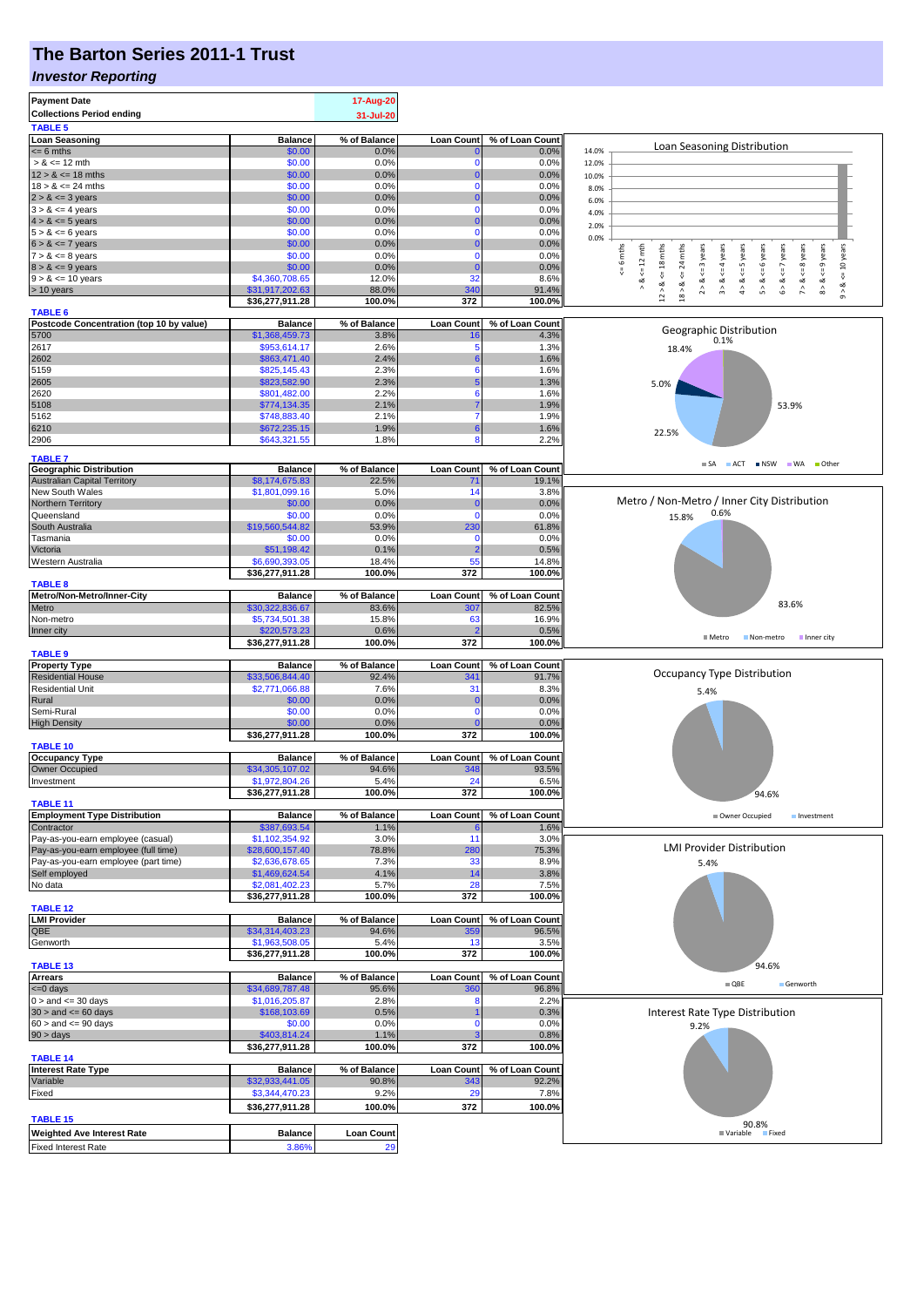## **The Barton Series 2011-1 Trust**

#### *Investor Reporting*

| 31-Jul-20<br><b>Balance</b><br>% of Balance<br><b>Loan Count</b><br>% of Loan Count<br>Loan Seasoning Distribution<br>\$0.00<br>14.0%<br>$= 6$ mths<br>0.0%<br>0.0%<br>$> 8 \le 12$ mth<br>\$0.00<br>0.0%<br>0.0%<br>$\Omega$<br>12.0%<br>\$0.00<br>0.0%<br>$12 > 8 \le 18$ mths<br>0.0%<br>0<br>10.0%<br>\$0.00<br>$18 > 8 \le 24$ mths<br>0.0%<br>$\Omega$<br>0.0%<br>8.0%<br>$2 > 8 \le 3$ years<br>\$0.00<br>0.0%<br>0.0%<br>u<br>6.0%<br>$3 > 8 \le 4$ years<br>\$0.00<br>0.0%<br>0.0%<br>$\Omega$<br>4.0%<br>$4 > 8 \le 5$ years<br>\$0.00<br>0.0%<br>0.0%<br>0<br>2.0%<br>$5 > 8 \le 6$ years<br>\$0.00<br>0.0%<br>0.0%<br>$\Omega$<br>0.0%<br>$6 > 8 \le 7$ years<br>\$0.00<br>0.0%<br>0.0%<br>O<br>$x = 6$ mths<br>$\leq 12$ mth<br>$12 > 8 \le 18$ mths<br>$\overline{\text{m}}$<br>$\leq$ = 3 years<br>$\leq$ = 4 years<br>$\le$ = 5 years<br>6 years<br>$\leq$ 7 years<br>$\leq$ 8 years<br>: 9 years<br><= 10 years<br>\$0.00<br>$7 > 8 \le 8$ years<br>0.0%<br>$\Omega$<br>0.0%<br>24<br>\$0.00<br>0.0%<br>0.0%<br>C<br>₩<br>V<br>₩<br>32<br>\$4,360,708.65<br>12.0%<br>8.6%<br>ಷ<br>ಷ<br>ಷ<br>ಷ<br>ಯ<br>ಷ<br>య<br>ಷ<br>త<br>ಷ<br>$\wedge$<br>$\hat{z}$<br>$\hat{3}$<br>$\hat{4}$<br>ς,<br>$\hat{6}$<br>$\hat{z}$<br>$\stackrel{\wedge}{\circ}$<br>\$31,917,202.63<br>88.0%<br>340<br>91.4%<br>$18 >$<br>$\hat{9}$<br>\$36,277,911.28<br>100.0%<br>372<br>100.0%<br><b>TABLE 6</b><br>Postcode Concentration (top 10 by value)<br><b>Balance</b><br>% of Balance<br><b>Loan Count</b><br>% of Loan Count<br>Geographic Distribution<br>5700<br>\$1,368,459.73<br>3.8%<br>4.3%<br>16<br>0.1%<br>2617<br>\$953,614.17<br>2.6%<br>5<br>1.3%<br>18.4%<br>\$863,471.40<br>2602<br>2.4%<br>1.6%<br>\$825,145.43<br>2.3%<br>5159<br>1.6%<br>6<br>\$823,582.90<br>2.3%<br>2605<br>1.3%<br>5.0%<br>\$801,482.00<br>2.2%<br>1.6%<br>6<br>\$774,134.35<br>2.1%<br>1.9%<br>53.9%<br>\$748,883.40<br>2.1%<br>1.9%<br>\$672,235.15<br>1.9%<br>1.6%<br>6<br>22.5%<br>\$643,321.55<br>1.8%<br>2.2%<br>Я<br><b>TABLE 7</b><br>$\blacksquare$ SA<br>ACT NSW WA Other<br>% of Loan Count<br><b>Balance</b><br>% of Balance<br><b>Loan Count</b><br>\$8,174,675.83<br>22.5%<br>19.1%<br>$7^{\circ}$<br>14<br>\$1,801,099.16<br>5.0%<br>3.8%<br>Metro / Non-Metro / Inner City Distribution<br>0.0%<br>\$0.00<br>0.0%<br>C<br>0.6%<br>0.0%<br>\$0.00<br>$\mathbf 0$<br>0.0%<br>Queensland<br>15.8%<br>\$19,560,544.82<br>53.9%<br>230<br>61.8%<br>\$0.00<br>Tasmania<br>0.0%<br>$\mathbf 0$<br>0.0%<br>0.1%<br>Victoria<br>\$51,198.42<br>0.5%<br>2<br>55<br>Western Australia<br>\$6,690,393.05<br>18.4%<br>14.8%<br>100.0%<br>372<br>100.0%<br>\$36,277,911.28<br><b>TABLE 8</b><br>Metro/Non-Metro/Inner-City<br><b>Balance</b><br>% of Balance<br><b>Loan Count</b><br>% of Loan Count<br>83.6%<br>Metro<br>\$30,322,836.67<br>83.6%<br>307<br>82.5%<br>Non-metro<br>\$5,734,501.38<br>15.8%<br>63<br>16.9%<br>\$220,573.23<br>0.6%<br>0.5%<br>■ Metro<br>Non-metro<br>Inner city<br>372<br>\$36,277,911.28<br>100.0%<br>100.0%<br><b>Balance</b><br>% of Balance<br><b>Loan Count</b><br>% of Loan Count<br>Occupancy Type Distribution<br>\$33,506,844.40<br><b>Residential House</b><br>92.4%<br>341<br>91.7%<br><b>Residential Unit</b><br>7.6%<br>31<br>\$2,771,066.88<br>8.3%<br>5.4%<br>Rural<br>0.0%<br>\$0.00<br>0.0%<br>O<br>Semi-Rural<br>\$0.00<br>0.0%<br>0.0%<br>$\Omega$<br>\$0.00<br>0.0%<br>0.0%<br><b>High Density</b><br>\$36,277,911.28<br>100.0%<br>372<br>100.0%<br><b>TABLE 10</b><br><b>Loan Count</b><br><b>Occupancy Type</b><br><b>Balance</b><br>% of Balance<br>% of Loan Count<br>Owner Occupied<br>\$34,305,107.02<br>94.6%<br>348<br>93.5%<br>\$1,972,804.26<br>5.4%<br>24<br>6.5%<br>\$36,277,911.28<br>100.0%<br>372<br>100.0%<br>94.6%<br>% of Balance<br><b>Loan Count</b><br>% of Loan Count<br><b>Balance</b><br>Owner Occupied<br>Investment<br>\$387,693.54<br>1.1%<br>1.6%<br>\$1,102,354.92<br>11<br>Pay-as-you-earn employee (casual)<br>3.0%<br>3.0%<br><b>LMI Provider Distribution</b><br>\$28,600,157.40<br>78.8%<br>280<br>Pay-as-you-earn employee (full time)<br>75.3%<br>\$2,636,678.65<br>33<br>Pay-as-you-earn employee (part time)<br>7.3%<br>8.9%<br>5.4%<br>\$1,469,624.54<br>Self employed<br>4.1%<br>14<br>3.8%<br>No data<br>\$2,081,402.23<br>5.7%<br>28<br>7.5%<br>\$36,277,911.28<br>100.0%<br>372<br>100.0%<br><b>Balance</b><br>% of Balance<br><b>Loan Count</b><br>% of Loan Count<br>94.6%<br>96.5%<br>\$34,314,403.23<br>359<br>\$1,963,508.05<br>5.4%<br>13<br>3.5%<br>100.0%<br>372<br>100.0%<br>\$36,277,911.28<br><b>TABLE 13</b><br>94.6%<br><b>Arrears</b><br><b>Balance</b><br>% of Balance<br><b>Loan Count</b><br>% of Loan Count<br>$\blacksquare$ QBE<br>Genworth<br><= 0 days<br>\$34,689,787.48<br>95.6%<br>96.8%<br><b>360</b><br>$0 >$ and $\leq$ 30 days<br>\$1,016,205.87<br>2.8%<br>2.2%<br>۶<br>$30 >$ and $\leq 60$ days<br>\$168,103.69<br>0.5%<br>0.3%<br>Interest Rate Type Distribution<br>$60 >$ and $\leq 90$ days<br>\$0.00<br>0.0%<br>0.0%<br>$\Omega$<br>9.2%<br>90 > days<br>\$403,814.24<br>1.1%<br>0.8%<br>\$36,277,911.28<br>100.0%<br>372<br>100.0%<br>% of Balance<br><b>Balance</b><br><b>Loan Count</b><br>% of Loan Count<br>\$32,933,441.05<br>343<br>92.2%<br>90.8%<br>\$3,344,470.23<br>9.2%<br>29<br>7.8%<br>372<br>\$36,277,911.28<br>100.0%<br>100.0%<br>90.8%<br>ble Fixed<br><b>Loan Count</b><br><b>Balance</b><br><b>■ Variable</b><br>3.86%<br><b>Fixed Interest Rate</b><br>29 | <b>Payment Date</b>                 | 17-Aug-20 |  |  |
|---------------------------------------------------------------------------------------------------------------------------------------------------------------------------------------------------------------------------------------------------------------------------------------------------------------------------------------------------------------------------------------------------------------------------------------------------------------------------------------------------------------------------------------------------------------------------------------------------------------------------------------------------------------------------------------------------------------------------------------------------------------------------------------------------------------------------------------------------------------------------------------------------------------------------------------------------------------------------------------------------------------------------------------------------------------------------------------------------------------------------------------------------------------------------------------------------------------------------------------------------------------------------------------------------------------------------------------------------------------------------------------------------------------------------------------------------------------------------------------------------------------------------------------------------------------------------------------------------------------------------------------------------------------------------------------------------------------------------------------------------------------------------------------------------------------------------------------------------------------------------------------------------------------------------------------------------------------------------------------------------------------------------------------------------------------------------------------------------------------------------------------------------------------------------------------------------------------------------------------------------------------------------------------------------------------------------------------------------------------------------------------------------------------------------------------------------------------------------------------------------------------------------------------------------------------------------------------------------------------------------------------------------------------------------------------------------------------------------------------------------------------------------------------------------------------------------------------------------------------------------------------------------------------------------------------------------------------------------------------------------------------------------------------------------------------------------------------------------------------------------------------------------------------------------------------------------------------------------------------------------------------------------------------------------------------------------------------------------------------------------------------------------------------------------------------------------------------------------------------------------------------------------------------------------------------------------------------------------------------------------------------------------------------------------------------------------------------------------------------------------------------------------------------------------------------------------------------------------------------------------------------------------------------------------------------------------------------------------------------------------------------------------------------------------------------------------------------------------------------------------------------------------------------------------------------------------------------------------------------------------------------------------------------------------------------------------------------------------------------------------------------------------------------------------------------------------------------------------------------------------------------------------------------------------------------------------------------------------------------------------------------------------------------------------------------------------------------------------------------------------------------------------------------------------------------------------------------------------------------------------------------------------------------------------------------------------------------------------------------------------------------------------------------------------------------------------------------------------------------------------------------------------------------------------------------------------------------------------------------------------------------------------------------------------------------------------------------------------------------------------------------------------------------------------------------------------------------------------------------------------|-------------------------------------|-----------|--|--|
|                                                                                                                                                                                                                                                                                                                                                                                                                                                                                                                                                                                                                                                                                                                                                                                                                                                                                                                                                                                                                                                                                                                                                                                                                                                                                                                                                                                                                                                                                                                                                                                                                                                                                                                                                                                                                                                                                                                                                                                                                                                                                                                                                                                                                                                                                                                                                                                                                                                                                                                                                                                                                                                                                                                                                                                                                                                                                                                                                                                                                                                                                                                                                                                                                                                                                                                                                                                                                                                                                                                                                                                                                                                                                                                                                                                                                                                                                                                                                                                                                                                                                                                                                                                                                                                                                                                                                                                                                                                                                                                                                                                                                                                                                                                                                                                                                                                                                                                                                                                                                                                                                                                                                                                                                                                                                                                                                                                                                                                                                                   | <b>Collections Period ending</b>    |           |  |  |
|                                                                                                                                                                                                                                                                                                                                                                                                                                                                                                                                                                                                                                                                                                                                                                                                                                                                                                                                                                                                                                                                                                                                                                                                                                                                                                                                                                                                                                                                                                                                                                                                                                                                                                                                                                                                                                                                                                                                                                                                                                                                                                                                                                                                                                                                                                                                                                                                                                                                                                                                                                                                                                                                                                                                                                                                                                                                                                                                                                                                                                                                                                                                                                                                                                                                                                                                                                                                                                                                                                                                                                                                                                                                                                                                                                                                                                                                                                                                                                                                                                                                                                                                                                                                                                                                                                                                                                                                                                                                                                                                                                                                                                                                                                                                                                                                                                                                                                                                                                                                                                                                                                                                                                                                                                                                                                                                                                                                                                                                                                   | <b>TABLE 5</b>                      |           |  |  |
|                                                                                                                                                                                                                                                                                                                                                                                                                                                                                                                                                                                                                                                                                                                                                                                                                                                                                                                                                                                                                                                                                                                                                                                                                                                                                                                                                                                                                                                                                                                                                                                                                                                                                                                                                                                                                                                                                                                                                                                                                                                                                                                                                                                                                                                                                                                                                                                                                                                                                                                                                                                                                                                                                                                                                                                                                                                                                                                                                                                                                                                                                                                                                                                                                                                                                                                                                                                                                                                                                                                                                                                                                                                                                                                                                                                                                                                                                                                                                                                                                                                                                                                                                                                                                                                                                                                                                                                                                                                                                                                                                                                                                                                                                                                                                                                                                                                                                                                                                                                                                                                                                                                                                                                                                                                                                                                                                                                                                                                                                                   | <b>Loan Seasoning</b>               |           |  |  |
|                                                                                                                                                                                                                                                                                                                                                                                                                                                                                                                                                                                                                                                                                                                                                                                                                                                                                                                                                                                                                                                                                                                                                                                                                                                                                                                                                                                                                                                                                                                                                                                                                                                                                                                                                                                                                                                                                                                                                                                                                                                                                                                                                                                                                                                                                                                                                                                                                                                                                                                                                                                                                                                                                                                                                                                                                                                                                                                                                                                                                                                                                                                                                                                                                                                                                                                                                                                                                                                                                                                                                                                                                                                                                                                                                                                                                                                                                                                                                                                                                                                                                                                                                                                                                                                                                                                                                                                                                                                                                                                                                                                                                                                                                                                                                                                                                                                                                                                                                                                                                                                                                                                                                                                                                                                                                                                                                                                                                                                                                                   |                                     |           |  |  |
|                                                                                                                                                                                                                                                                                                                                                                                                                                                                                                                                                                                                                                                                                                                                                                                                                                                                                                                                                                                                                                                                                                                                                                                                                                                                                                                                                                                                                                                                                                                                                                                                                                                                                                                                                                                                                                                                                                                                                                                                                                                                                                                                                                                                                                                                                                                                                                                                                                                                                                                                                                                                                                                                                                                                                                                                                                                                                                                                                                                                                                                                                                                                                                                                                                                                                                                                                                                                                                                                                                                                                                                                                                                                                                                                                                                                                                                                                                                                                                                                                                                                                                                                                                                                                                                                                                                                                                                                                                                                                                                                                                                                                                                                                                                                                                                                                                                                                                                                                                                                                                                                                                                                                                                                                                                                                                                                                                                                                                                                                                   |                                     |           |  |  |
|                                                                                                                                                                                                                                                                                                                                                                                                                                                                                                                                                                                                                                                                                                                                                                                                                                                                                                                                                                                                                                                                                                                                                                                                                                                                                                                                                                                                                                                                                                                                                                                                                                                                                                                                                                                                                                                                                                                                                                                                                                                                                                                                                                                                                                                                                                                                                                                                                                                                                                                                                                                                                                                                                                                                                                                                                                                                                                                                                                                                                                                                                                                                                                                                                                                                                                                                                                                                                                                                                                                                                                                                                                                                                                                                                                                                                                                                                                                                                                                                                                                                                                                                                                                                                                                                                                                                                                                                                                                                                                                                                                                                                                                                                                                                                                                                                                                                                                                                                                                                                                                                                                                                                                                                                                                                                                                                                                                                                                                                                                   |                                     |           |  |  |
|                                                                                                                                                                                                                                                                                                                                                                                                                                                                                                                                                                                                                                                                                                                                                                                                                                                                                                                                                                                                                                                                                                                                                                                                                                                                                                                                                                                                                                                                                                                                                                                                                                                                                                                                                                                                                                                                                                                                                                                                                                                                                                                                                                                                                                                                                                                                                                                                                                                                                                                                                                                                                                                                                                                                                                                                                                                                                                                                                                                                                                                                                                                                                                                                                                                                                                                                                                                                                                                                                                                                                                                                                                                                                                                                                                                                                                                                                                                                                                                                                                                                                                                                                                                                                                                                                                                                                                                                                                                                                                                                                                                                                                                                                                                                                                                                                                                                                                                                                                                                                                                                                                                                                                                                                                                                                                                                                                                                                                                                                                   |                                     |           |  |  |
|                                                                                                                                                                                                                                                                                                                                                                                                                                                                                                                                                                                                                                                                                                                                                                                                                                                                                                                                                                                                                                                                                                                                                                                                                                                                                                                                                                                                                                                                                                                                                                                                                                                                                                                                                                                                                                                                                                                                                                                                                                                                                                                                                                                                                                                                                                                                                                                                                                                                                                                                                                                                                                                                                                                                                                                                                                                                                                                                                                                                                                                                                                                                                                                                                                                                                                                                                                                                                                                                                                                                                                                                                                                                                                                                                                                                                                                                                                                                                                                                                                                                                                                                                                                                                                                                                                                                                                                                                                                                                                                                                                                                                                                                                                                                                                                                                                                                                                                                                                                                                                                                                                                                                                                                                                                                                                                                                                                                                                                                                                   |                                     |           |  |  |
|                                                                                                                                                                                                                                                                                                                                                                                                                                                                                                                                                                                                                                                                                                                                                                                                                                                                                                                                                                                                                                                                                                                                                                                                                                                                                                                                                                                                                                                                                                                                                                                                                                                                                                                                                                                                                                                                                                                                                                                                                                                                                                                                                                                                                                                                                                                                                                                                                                                                                                                                                                                                                                                                                                                                                                                                                                                                                                                                                                                                                                                                                                                                                                                                                                                                                                                                                                                                                                                                                                                                                                                                                                                                                                                                                                                                                                                                                                                                                                                                                                                                                                                                                                                                                                                                                                                                                                                                                                                                                                                                                                                                                                                                                                                                                                                                                                                                                                                                                                                                                                                                                                                                                                                                                                                                                                                                                                                                                                                                                                   |                                     |           |  |  |
|                                                                                                                                                                                                                                                                                                                                                                                                                                                                                                                                                                                                                                                                                                                                                                                                                                                                                                                                                                                                                                                                                                                                                                                                                                                                                                                                                                                                                                                                                                                                                                                                                                                                                                                                                                                                                                                                                                                                                                                                                                                                                                                                                                                                                                                                                                                                                                                                                                                                                                                                                                                                                                                                                                                                                                                                                                                                                                                                                                                                                                                                                                                                                                                                                                                                                                                                                                                                                                                                                                                                                                                                                                                                                                                                                                                                                                                                                                                                                                                                                                                                                                                                                                                                                                                                                                                                                                                                                                                                                                                                                                                                                                                                                                                                                                                                                                                                                                                                                                                                                                                                                                                                                                                                                                                                                                                                                                                                                                                                                                   |                                     |           |  |  |
|                                                                                                                                                                                                                                                                                                                                                                                                                                                                                                                                                                                                                                                                                                                                                                                                                                                                                                                                                                                                                                                                                                                                                                                                                                                                                                                                                                                                                                                                                                                                                                                                                                                                                                                                                                                                                                                                                                                                                                                                                                                                                                                                                                                                                                                                                                                                                                                                                                                                                                                                                                                                                                                                                                                                                                                                                                                                                                                                                                                                                                                                                                                                                                                                                                                                                                                                                                                                                                                                                                                                                                                                                                                                                                                                                                                                                                                                                                                                                                                                                                                                                                                                                                                                                                                                                                                                                                                                                                                                                                                                                                                                                                                                                                                                                                                                                                                                                                                                                                                                                                                                                                                                                                                                                                                                                                                                                                                                                                                                                                   |                                     |           |  |  |
|                                                                                                                                                                                                                                                                                                                                                                                                                                                                                                                                                                                                                                                                                                                                                                                                                                                                                                                                                                                                                                                                                                                                                                                                                                                                                                                                                                                                                                                                                                                                                                                                                                                                                                                                                                                                                                                                                                                                                                                                                                                                                                                                                                                                                                                                                                                                                                                                                                                                                                                                                                                                                                                                                                                                                                                                                                                                                                                                                                                                                                                                                                                                                                                                                                                                                                                                                                                                                                                                                                                                                                                                                                                                                                                                                                                                                                                                                                                                                                                                                                                                                                                                                                                                                                                                                                                                                                                                                                                                                                                                                                                                                                                                                                                                                                                                                                                                                                                                                                                                                                                                                                                                                                                                                                                                                                                                                                                                                                                                                                   |                                     |           |  |  |
|                                                                                                                                                                                                                                                                                                                                                                                                                                                                                                                                                                                                                                                                                                                                                                                                                                                                                                                                                                                                                                                                                                                                                                                                                                                                                                                                                                                                                                                                                                                                                                                                                                                                                                                                                                                                                                                                                                                                                                                                                                                                                                                                                                                                                                                                                                                                                                                                                                                                                                                                                                                                                                                                                                                                                                                                                                                                                                                                                                                                                                                                                                                                                                                                                                                                                                                                                                                                                                                                                                                                                                                                                                                                                                                                                                                                                                                                                                                                                                                                                                                                                                                                                                                                                                                                                                                                                                                                                                                                                                                                                                                                                                                                                                                                                                                                                                                                                                                                                                                                                                                                                                                                                                                                                                                                                                                                                                                                                                                                                                   | $8 > 8 \le 9$ years                 |           |  |  |
|                                                                                                                                                                                                                                                                                                                                                                                                                                                                                                                                                                                                                                                                                                                                                                                                                                                                                                                                                                                                                                                                                                                                                                                                                                                                                                                                                                                                                                                                                                                                                                                                                                                                                                                                                                                                                                                                                                                                                                                                                                                                                                                                                                                                                                                                                                                                                                                                                                                                                                                                                                                                                                                                                                                                                                                                                                                                                                                                                                                                                                                                                                                                                                                                                                                                                                                                                                                                                                                                                                                                                                                                                                                                                                                                                                                                                                                                                                                                                                                                                                                                                                                                                                                                                                                                                                                                                                                                                                                                                                                                                                                                                                                                                                                                                                                                                                                                                                                                                                                                                                                                                                                                                                                                                                                                                                                                                                                                                                                                                                   | $9 > 8 \le 10$ years                |           |  |  |
|                                                                                                                                                                                                                                                                                                                                                                                                                                                                                                                                                                                                                                                                                                                                                                                                                                                                                                                                                                                                                                                                                                                                                                                                                                                                                                                                                                                                                                                                                                                                                                                                                                                                                                                                                                                                                                                                                                                                                                                                                                                                                                                                                                                                                                                                                                                                                                                                                                                                                                                                                                                                                                                                                                                                                                                                                                                                                                                                                                                                                                                                                                                                                                                                                                                                                                                                                                                                                                                                                                                                                                                                                                                                                                                                                                                                                                                                                                                                                                                                                                                                                                                                                                                                                                                                                                                                                                                                                                                                                                                                                                                                                                                                                                                                                                                                                                                                                                                                                                                                                                                                                                                                                                                                                                                                                                                                                                                                                                                                                                   | > 10 years                          |           |  |  |
|                                                                                                                                                                                                                                                                                                                                                                                                                                                                                                                                                                                                                                                                                                                                                                                                                                                                                                                                                                                                                                                                                                                                                                                                                                                                                                                                                                                                                                                                                                                                                                                                                                                                                                                                                                                                                                                                                                                                                                                                                                                                                                                                                                                                                                                                                                                                                                                                                                                                                                                                                                                                                                                                                                                                                                                                                                                                                                                                                                                                                                                                                                                                                                                                                                                                                                                                                                                                                                                                                                                                                                                                                                                                                                                                                                                                                                                                                                                                                                                                                                                                                                                                                                                                                                                                                                                                                                                                                                                                                                                                                                                                                                                                                                                                                                                                                                                                                                                                                                                                                                                                                                                                                                                                                                                                                                                                                                                                                                                                                                   |                                     |           |  |  |
|                                                                                                                                                                                                                                                                                                                                                                                                                                                                                                                                                                                                                                                                                                                                                                                                                                                                                                                                                                                                                                                                                                                                                                                                                                                                                                                                                                                                                                                                                                                                                                                                                                                                                                                                                                                                                                                                                                                                                                                                                                                                                                                                                                                                                                                                                                                                                                                                                                                                                                                                                                                                                                                                                                                                                                                                                                                                                                                                                                                                                                                                                                                                                                                                                                                                                                                                                                                                                                                                                                                                                                                                                                                                                                                                                                                                                                                                                                                                                                                                                                                                                                                                                                                                                                                                                                                                                                                                                                                                                                                                                                                                                                                                                                                                                                                                                                                                                                                                                                                                                                                                                                                                                                                                                                                                                                                                                                                                                                                                                                   |                                     |           |  |  |
|                                                                                                                                                                                                                                                                                                                                                                                                                                                                                                                                                                                                                                                                                                                                                                                                                                                                                                                                                                                                                                                                                                                                                                                                                                                                                                                                                                                                                                                                                                                                                                                                                                                                                                                                                                                                                                                                                                                                                                                                                                                                                                                                                                                                                                                                                                                                                                                                                                                                                                                                                                                                                                                                                                                                                                                                                                                                                                                                                                                                                                                                                                                                                                                                                                                                                                                                                                                                                                                                                                                                                                                                                                                                                                                                                                                                                                                                                                                                                                                                                                                                                                                                                                                                                                                                                                                                                                                                                                                                                                                                                                                                                                                                                                                                                                                                                                                                                                                                                                                                                                                                                                                                                                                                                                                                                                                                                                                                                                                                                                   |                                     |           |  |  |
|                                                                                                                                                                                                                                                                                                                                                                                                                                                                                                                                                                                                                                                                                                                                                                                                                                                                                                                                                                                                                                                                                                                                                                                                                                                                                                                                                                                                                                                                                                                                                                                                                                                                                                                                                                                                                                                                                                                                                                                                                                                                                                                                                                                                                                                                                                                                                                                                                                                                                                                                                                                                                                                                                                                                                                                                                                                                                                                                                                                                                                                                                                                                                                                                                                                                                                                                                                                                                                                                                                                                                                                                                                                                                                                                                                                                                                                                                                                                                                                                                                                                                                                                                                                                                                                                                                                                                                                                                                                                                                                                                                                                                                                                                                                                                                                                                                                                                                                                                                                                                                                                                                                                                                                                                                                                                                                                                                                                                                                                                                   |                                     |           |  |  |
|                                                                                                                                                                                                                                                                                                                                                                                                                                                                                                                                                                                                                                                                                                                                                                                                                                                                                                                                                                                                                                                                                                                                                                                                                                                                                                                                                                                                                                                                                                                                                                                                                                                                                                                                                                                                                                                                                                                                                                                                                                                                                                                                                                                                                                                                                                                                                                                                                                                                                                                                                                                                                                                                                                                                                                                                                                                                                                                                                                                                                                                                                                                                                                                                                                                                                                                                                                                                                                                                                                                                                                                                                                                                                                                                                                                                                                                                                                                                                                                                                                                                                                                                                                                                                                                                                                                                                                                                                                                                                                                                                                                                                                                                                                                                                                                                                                                                                                                                                                                                                                                                                                                                                                                                                                                                                                                                                                                                                                                                                                   |                                     |           |  |  |
|                                                                                                                                                                                                                                                                                                                                                                                                                                                                                                                                                                                                                                                                                                                                                                                                                                                                                                                                                                                                                                                                                                                                                                                                                                                                                                                                                                                                                                                                                                                                                                                                                                                                                                                                                                                                                                                                                                                                                                                                                                                                                                                                                                                                                                                                                                                                                                                                                                                                                                                                                                                                                                                                                                                                                                                                                                                                                                                                                                                                                                                                                                                                                                                                                                                                                                                                                                                                                                                                                                                                                                                                                                                                                                                                                                                                                                                                                                                                                                                                                                                                                                                                                                                                                                                                                                                                                                                                                                                                                                                                                                                                                                                                                                                                                                                                                                                                                                                                                                                                                                                                                                                                                                                                                                                                                                                                                                                                                                                                                                   |                                     |           |  |  |
|                                                                                                                                                                                                                                                                                                                                                                                                                                                                                                                                                                                                                                                                                                                                                                                                                                                                                                                                                                                                                                                                                                                                                                                                                                                                                                                                                                                                                                                                                                                                                                                                                                                                                                                                                                                                                                                                                                                                                                                                                                                                                                                                                                                                                                                                                                                                                                                                                                                                                                                                                                                                                                                                                                                                                                                                                                                                                                                                                                                                                                                                                                                                                                                                                                                                                                                                                                                                                                                                                                                                                                                                                                                                                                                                                                                                                                                                                                                                                                                                                                                                                                                                                                                                                                                                                                                                                                                                                                                                                                                                                                                                                                                                                                                                                                                                                                                                                                                                                                                                                                                                                                                                                                                                                                                                                                                                                                                                                                                                                                   |                                     |           |  |  |
|                                                                                                                                                                                                                                                                                                                                                                                                                                                                                                                                                                                                                                                                                                                                                                                                                                                                                                                                                                                                                                                                                                                                                                                                                                                                                                                                                                                                                                                                                                                                                                                                                                                                                                                                                                                                                                                                                                                                                                                                                                                                                                                                                                                                                                                                                                                                                                                                                                                                                                                                                                                                                                                                                                                                                                                                                                                                                                                                                                                                                                                                                                                                                                                                                                                                                                                                                                                                                                                                                                                                                                                                                                                                                                                                                                                                                                                                                                                                                                                                                                                                                                                                                                                                                                                                                                                                                                                                                                                                                                                                                                                                                                                                                                                                                                                                                                                                                                                                                                                                                                                                                                                                                                                                                                                                                                                                                                                                                                                                                                   | 2620                                |           |  |  |
|                                                                                                                                                                                                                                                                                                                                                                                                                                                                                                                                                                                                                                                                                                                                                                                                                                                                                                                                                                                                                                                                                                                                                                                                                                                                                                                                                                                                                                                                                                                                                                                                                                                                                                                                                                                                                                                                                                                                                                                                                                                                                                                                                                                                                                                                                                                                                                                                                                                                                                                                                                                                                                                                                                                                                                                                                                                                                                                                                                                                                                                                                                                                                                                                                                                                                                                                                                                                                                                                                                                                                                                                                                                                                                                                                                                                                                                                                                                                                                                                                                                                                                                                                                                                                                                                                                                                                                                                                                                                                                                                                                                                                                                                                                                                                                                                                                                                                                                                                                                                                                                                                                                                                                                                                                                                                                                                                                                                                                                                                                   | 5108                                |           |  |  |
|                                                                                                                                                                                                                                                                                                                                                                                                                                                                                                                                                                                                                                                                                                                                                                                                                                                                                                                                                                                                                                                                                                                                                                                                                                                                                                                                                                                                                                                                                                                                                                                                                                                                                                                                                                                                                                                                                                                                                                                                                                                                                                                                                                                                                                                                                                                                                                                                                                                                                                                                                                                                                                                                                                                                                                                                                                                                                                                                                                                                                                                                                                                                                                                                                                                                                                                                                                                                                                                                                                                                                                                                                                                                                                                                                                                                                                                                                                                                                                                                                                                                                                                                                                                                                                                                                                                                                                                                                                                                                                                                                                                                                                                                                                                                                                                                                                                                                                                                                                                                                                                                                                                                                                                                                                                                                                                                                                                                                                                                                                   | 5162                                |           |  |  |
|                                                                                                                                                                                                                                                                                                                                                                                                                                                                                                                                                                                                                                                                                                                                                                                                                                                                                                                                                                                                                                                                                                                                                                                                                                                                                                                                                                                                                                                                                                                                                                                                                                                                                                                                                                                                                                                                                                                                                                                                                                                                                                                                                                                                                                                                                                                                                                                                                                                                                                                                                                                                                                                                                                                                                                                                                                                                                                                                                                                                                                                                                                                                                                                                                                                                                                                                                                                                                                                                                                                                                                                                                                                                                                                                                                                                                                                                                                                                                                                                                                                                                                                                                                                                                                                                                                                                                                                                                                                                                                                                                                                                                                                                                                                                                                                                                                                                                                                                                                                                                                                                                                                                                                                                                                                                                                                                                                                                                                                                                                   | 6210                                |           |  |  |
|                                                                                                                                                                                                                                                                                                                                                                                                                                                                                                                                                                                                                                                                                                                                                                                                                                                                                                                                                                                                                                                                                                                                                                                                                                                                                                                                                                                                                                                                                                                                                                                                                                                                                                                                                                                                                                                                                                                                                                                                                                                                                                                                                                                                                                                                                                                                                                                                                                                                                                                                                                                                                                                                                                                                                                                                                                                                                                                                                                                                                                                                                                                                                                                                                                                                                                                                                                                                                                                                                                                                                                                                                                                                                                                                                                                                                                                                                                                                                                                                                                                                                                                                                                                                                                                                                                                                                                                                                                                                                                                                                                                                                                                                                                                                                                                                                                                                                                                                                                                                                                                                                                                                                                                                                                                                                                                                                                                                                                                                                                   | 2906                                |           |  |  |
|                                                                                                                                                                                                                                                                                                                                                                                                                                                                                                                                                                                                                                                                                                                                                                                                                                                                                                                                                                                                                                                                                                                                                                                                                                                                                                                                                                                                                                                                                                                                                                                                                                                                                                                                                                                                                                                                                                                                                                                                                                                                                                                                                                                                                                                                                                                                                                                                                                                                                                                                                                                                                                                                                                                                                                                                                                                                                                                                                                                                                                                                                                                                                                                                                                                                                                                                                                                                                                                                                                                                                                                                                                                                                                                                                                                                                                                                                                                                                                                                                                                                                                                                                                                                                                                                                                                                                                                                                                                                                                                                                                                                                                                                                                                                                                                                                                                                                                                                                                                                                                                                                                                                                                                                                                                                                                                                                                                                                                                                                                   |                                     |           |  |  |
|                                                                                                                                                                                                                                                                                                                                                                                                                                                                                                                                                                                                                                                                                                                                                                                                                                                                                                                                                                                                                                                                                                                                                                                                                                                                                                                                                                                                                                                                                                                                                                                                                                                                                                                                                                                                                                                                                                                                                                                                                                                                                                                                                                                                                                                                                                                                                                                                                                                                                                                                                                                                                                                                                                                                                                                                                                                                                                                                                                                                                                                                                                                                                                                                                                                                                                                                                                                                                                                                                                                                                                                                                                                                                                                                                                                                                                                                                                                                                                                                                                                                                                                                                                                                                                                                                                                                                                                                                                                                                                                                                                                                                                                                                                                                                                                                                                                                                                                                                                                                                                                                                                                                                                                                                                                                                                                                                                                                                                                                                                   | <b>Geographic Distribution</b>      |           |  |  |
|                                                                                                                                                                                                                                                                                                                                                                                                                                                                                                                                                                                                                                                                                                                                                                                                                                                                                                                                                                                                                                                                                                                                                                                                                                                                                                                                                                                                                                                                                                                                                                                                                                                                                                                                                                                                                                                                                                                                                                                                                                                                                                                                                                                                                                                                                                                                                                                                                                                                                                                                                                                                                                                                                                                                                                                                                                                                                                                                                                                                                                                                                                                                                                                                                                                                                                                                                                                                                                                                                                                                                                                                                                                                                                                                                                                                                                                                                                                                                                                                                                                                                                                                                                                                                                                                                                                                                                                                                                                                                                                                                                                                                                                                                                                                                                                                                                                                                                                                                                                                                                                                                                                                                                                                                                                                                                                                                                                                                                                                                                   | <b>Australian Capital Territory</b> |           |  |  |
|                                                                                                                                                                                                                                                                                                                                                                                                                                                                                                                                                                                                                                                                                                                                                                                                                                                                                                                                                                                                                                                                                                                                                                                                                                                                                                                                                                                                                                                                                                                                                                                                                                                                                                                                                                                                                                                                                                                                                                                                                                                                                                                                                                                                                                                                                                                                                                                                                                                                                                                                                                                                                                                                                                                                                                                                                                                                                                                                                                                                                                                                                                                                                                                                                                                                                                                                                                                                                                                                                                                                                                                                                                                                                                                                                                                                                                                                                                                                                                                                                                                                                                                                                                                                                                                                                                                                                                                                                                                                                                                                                                                                                                                                                                                                                                                                                                                                                                                                                                                                                                                                                                                                                                                                                                                                                                                                                                                                                                                                                                   | <b>New South Wales</b>              |           |  |  |
|                                                                                                                                                                                                                                                                                                                                                                                                                                                                                                                                                                                                                                                                                                                                                                                                                                                                                                                                                                                                                                                                                                                                                                                                                                                                                                                                                                                                                                                                                                                                                                                                                                                                                                                                                                                                                                                                                                                                                                                                                                                                                                                                                                                                                                                                                                                                                                                                                                                                                                                                                                                                                                                                                                                                                                                                                                                                                                                                                                                                                                                                                                                                                                                                                                                                                                                                                                                                                                                                                                                                                                                                                                                                                                                                                                                                                                                                                                                                                                                                                                                                                                                                                                                                                                                                                                                                                                                                                                                                                                                                                                                                                                                                                                                                                                                                                                                                                                                                                                                                                                                                                                                                                                                                                                                                                                                                                                                                                                                                                                   | Northern Territory                  |           |  |  |
|                                                                                                                                                                                                                                                                                                                                                                                                                                                                                                                                                                                                                                                                                                                                                                                                                                                                                                                                                                                                                                                                                                                                                                                                                                                                                                                                                                                                                                                                                                                                                                                                                                                                                                                                                                                                                                                                                                                                                                                                                                                                                                                                                                                                                                                                                                                                                                                                                                                                                                                                                                                                                                                                                                                                                                                                                                                                                                                                                                                                                                                                                                                                                                                                                                                                                                                                                                                                                                                                                                                                                                                                                                                                                                                                                                                                                                                                                                                                                                                                                                                                                                                                                                                                                                                                                                                                                                                                                                                                                                                                                                                                                                                                                                                                                                                                                                                                                                                                                                                                                                                                                                                                                                                                                                                                                                                                                                                                                                                                                                   |                                     |           |  |  |
|                                                                                                                                                                                                                                                                                                                                                                                                                                                                                                                                                                                                                                                                                                                                                                                                                                                                                                                                                                                                                                                                                                                                                                                                                                                                                                                                                                                                                                                                                                                                                                                                                                                                                                                                                                                                                                                                                                                                                                                                                                                                                                                                                                                                                                                                                                                                                                                                                                                                                                                                                                                                                                                                                                                                                                                                                                                                                                                                                                                                                                                                                                                                                                                                                                                                                                                                                                                                                                                                                                                                                                                                                                                                                                                                                                                                                                                                                                                                                                                                                                                                                                                                                                                                                                                                                                                                                                                                                                                                                                                                                                                                                                                                                                                                                                                                                                                                                                                                                                                                                                                                                                                                                                                                                                                                                                                                                                                                                                                                                                   | South Australia                     |           |  |  |
|                                                                                                                                                                                                                                                                                                                                                                                                                                                                                                                                                                                                                                                                                                                                                                                                                                                                                                                                                                                                                                                                                                                                                                                                                                                                                                                                                                                                                                                                                                                                                                                                                                                                                                                                                                                                                                                                                                                                                                                                                                                                                                                                                                                                                                                                                                                                                                                                                                                                                                                                                                                                                                                                                                                                                                                                                                                                                                                                                                                                                                                                                                                                                                                                                                                                                                                                                                                                                                                                                                                                                                                                                                                                                                                                                                                                                                                                                                                                                                                                                                                                                                                                                                                                                                                                                                                                                                                                                                                                                                                                                                                                                                                                                                                                                                                                                                                                                                                                                                                                                                                                                                                                                                                                                                                                                                                                                                                                                                                                                                   |                                     |           |  |  |
|                                                                                                                                                                                                                                                                                                                                                                                                                                                                                                                                                                                                                                                                                                                                                                                                                                                                                                                                                                                                                                                                                                                                                                                                                                                                                                                                                                                                                                                                                                                                                                                                                                                                                                                                                                                                                                                                                                                                                                                                                                                                                                                                                                                                                                                                                                                                                                                                                                                                                                                                                                                                                                                                                                                                                                                                                                                                                                                                                                                                                                                                                                                                                                                                                                                                                                                                                                                                                                                                                                                                                                                                                                                                                                                                                                                                                                                                                                                                                                                                                                                                                                                                                                                                                                                                                                                                                                                                                                                                                                                                                                                                                                                                                                                                                                                                                                                                                                                                                                                                                                                                                                                                                                                                                                                                                                                                                                                                                                                                                                   |                                     |           |  |  |
|                                                                                                                                                                                                                                                                                                                                                                                                                                                                                                                                                                                                                                                                                                                                                                                                                                                                                                                                                                                                                                                                                                                                                                                                                                                                                                                                                                                                                                                                                                                                                                                                                                                                                                                                                                                                                                                                                                                                                                                                                                                                                                                                                                                                                                                                                                                                                                                                                                                                                                                                                                                                                                                                                                                                                                                                                                                                                                                                                                                                                                                                                                                                                                                                                                                                                                                                                                                                                                                                                                                                                                                                                                                                                                                                                                                                                                                                                                                                                                                                                                                                                                                                                                                                                                                                                                                                                                                                                                                                                                                                                                                                                                                                                                                                                                                                                                                                                                                                                                                                                                                                                                                                                                                                                                                                                                                                                                                                                                                                                                   |                                     |           |  |  |
|                                                                                                                                                                                                                                                                                                                                                                                                                                                                                                                                                                                                                                                                                                                                                                                                                                                                                                                                                                                                                                                                                                                                                                                                                                                                                                                                                                                                                                                                                                                                                                                                                                                                                                                                                                                                                                                                                                                                                                                                                                                                                                                                                                                                                                                                                                                                                                                                                                                                                                                                                                                                                                                                                                                                                                                                                                                                                                                                                                                                                                                                                                                                                                                                                                                                                                                                                                                                                                                                                                                                                                                                                                                                                                                                                                                                                                                                                                                                                                                                                                                                                                                                                                                                                                                                                                                                                                                                                                                                                                                                                                                                                                                                                                                                                                                                                                                                                                                                                                                                                                                                                                                                                                                                                                                                                                                                                                                                                                                                                                   |                                     |           |  |  |
|                                                                                                                                                                                                                                                                                                                                                                                                                                                                                                                                                                                                                                                                                                                                                                                                                                                                                                                                                                                                                                                                                                                                                                                                                                                                                                                                                                                                                                                                                                                                                                                                                                                                                                                                                                                                                                                                                                                                                                                                                                                                                                                                                                                                                                                                                                                                                                                                                                                                                                                                                                                                                                                                                                                                                                                                                                                                                                                                                                                                                                                                                                                                                                                                                                                                                                                                                                                                                                                                                                                                                                                                                                                                                                                                                                                                                                                                                                                                                                                                                                                                                                                                                                                                                                                                                                                                                                                                                                                                                                                                                                                                                                                                                                                                                                                                                                                                                                                                                                                                                                                                                                                                                                                                                                                                                                                                                                                                                                                                                                   |                                     |           |  |  |
|                                                                                                                                                                                                                                                                                                                                                                                                                                                                                                                                                                                                                                                                                                                                                                                                                                                                                                                                                                                                                                                                                                                                                                                                                                                                                                                                                                                                                                                                                                                                                                                                                                                                                                                                                                                                                                                                                                                                                                                                                                                                                                                                                                                                                                                                                                                                                                                                                                                                                                                                                                                                                                                                                                                                                                                                                                                                                                                                                                                                                                                                                                                                                                                                                                                                                                                                                                                                                                                                                                                                                                                                                                                                                                                                                                                                                                                                                                                                                                                                                                                                                                                                                                                                                                                                                                                                                                                                                                                                                                                                                                                                                                                                                                                                                                                                                                                                                                                                                                                                                                                                                                                                                                                                                                                                                                                                                                                                                                                                                                   |                                     |           |  |  |
|                                                                                                                                                                                                                                                                                                                                                                                                                                                                                                                                                                                                                                                                                                                                                                                                                                                                                                                                                                                                                                                                                                                                                                                                                                                                                                                                                                                                                                                                                                                                                                                                                                                                                                                                                                                                                                                                                                                                                                                                                                                                                                                                                                                                                                                                                                                                                                                                                                                                                                                                                                                                                                                                                                                                                                                                                                                                                                                                                                                                                                                                                                                                                                                                                                                                                                                                                                                                                                                                                                                                                                                                                                                                                                                                                                                                                                                                                                                                                                                                                                                                                                                                                                                                                                                                                                                                                                                                                                                                                                                                                                                                                                                                                                                                                                                                                                                                                                                                                                                                                                                                                                                                                                                                                                                                                                                                                                                                                                                                                                   |                                     |           |  |  |
|                                                                                                                                                                                                                                                                                                                                                                                                                                                                                                                                                                                                                                                                                                                                                                                                                                                                                                                                                                                                                                                                                                                                                                                                                                                                                                                                                                                                                                                                                                                                                                                                                                                                                                                                                                                                                                                                                                                                                                                                                                                                                                                                                                                                                                                                                                                                                                                                                                                                                                                                                                                                                                                                                                                                                                                                                                                                                                                                                                                                                                                                                                                                                                                                                                                                                                                                                                                                                                                                                                                                                                                                                                                                                                                                                                                                                                                                                                                                                                                                                                                                                                                                                                                                                                                                                                                                                                                                                                                                                                                                                                                                                                                                                                                                                                                                                                                                                                                                                                                                                                                                                                                                                                                                                                                                                                                                                                                                                                                                                                   | Inner city                          |           |  |  |
|                                                                                                                                                                                                                                                                                                                                                                                                                                                                                                                                                                                                                                                                                                                                                                                                                                                                                                                                                                                                                                                                                                                                                                                                                                                                                                                                                                                                                                                                                                                                                                                                                                                                                                                                                                                                                                                                                                                                                                                                                                                                                                                                                                                                                                                                                                                                                                                                                                                                                                                                                                                                                                                                                                                                                                                                                                                                                                                                                                                                                                                                                                                                                                                                                                                                                                                                                                                                                                                                                                                                                                                                                                                                                                                                                                                                                                                                                                                                                                                                                                                                                                                                                                                                                                                                                                                                                                                                                                                                                                                                                                                                                                                                                                                                                                                                                                                                                                                                                                                                                                                                                                                                                                                                                                                                                                                                                                                                                                                                                                   |                                     |           |  |  |
|                                                                                                                                                                                                                                                                                                                                                                                                                                                                                                                                                                                                                                                                                                                                                                                                                                                                                                                                                                                                                                                                                                                                                                                                                                                                                                                                                                                                                                                                                                                                                                                                                                                                                                                                                                                                                                                                                                                                                                                                                                                                                                                                                                                                                                                                                                                                                                                                                                                                                                                                                                                                                                                                                                                                                                                                                                                                                                                                                                                                                                                                                                                                                                                                                                                                                                                                                                                                                                                                                                                                                                                                                                                                                                                                                                                                                                                                                                                                                                                                                                                                                                                                                                                                                                                                                                                                                                                                                                                                                                                                                                                                                                                                                                                                                                                                                                                                                                                                                                                                                                                                                                                                                                                                                                                                                                                                                                                                                                                                                                   | <b>TABLE 9</b>                      |           |  |  |
|                                                                                                                                                                                                                                                                                                                                                                                                                                                                                                                                                                                                                                                                                                                                                                                                                                                                                                                                                                                                                                                                                                                                                                                                                                                                                                                                                                                                                                                                                                                                                                                                                                                                                                                                                                                                                                                                                                                                                                                                                                                                                                                                                                                                                                                                                                                                                                                                                                                                                                                                                                                                                                                                                                                                                                                                                                                                                                                                                                                                                                                                                                                                                                                                                                                                                                                                                                                                                                                                                                                                                                                                                                                                                                                                                                                                                                                                                                                                                                                                                                                                                                                                                                                                                                                                                                                                                                                                                                                                                                                                                                                                                                                                                                                                                                                                                                                                                                                                                                                                                                                                                                                                                                                                                                                                                                                                                                                                                                                                                                   | <b>Property Type</b>                |           |  |  |
|                                                                                                                                                                                                                                                                                                                                                                                                                                                                                                                                                                                                                                                                                                                                                                                                                                                                                                                                                                                                                                                                                                                                                                                                                                                                                                                                                                                                                                                                                                                                                                                                                                                                                                                                                                                                                                                                                                                                                                                                                                                                                                                                                                                                                                                                                                                                                                                                                                                                                                                                                                                                                                                                                                                                                                                                                                                                                                                                                                                                                                                                                                                                                                                                                                                                                                                                                                                                                                                                                                                                                                                                                                                                                                                                                                                                                                                                                                                                                                                                                                                                                                                                                                                                                                                                                                                                                                                                                                                                                                                                                                                                                                                                                                                                                                                                                                                                                                                                                                                                                                                                                                                                                                                                                                                                                                                                                                                                                                                                                                   |                                     |           |  |  |
|                                                                                                                                                                                                                                                                                                                                                                                                                                                                                                                                                                                                                                                                                                                                                                                                                                                                                                                                                                                                                                                                                                                                                                                                                                                                                                                                                                                                                                                                                                                                                                                                                                                                                                                                                                                                                                                                                                                                                                                                                                                                                                                                                                                                                                                                                                                                                                                                                                                                                                                                                                                                                                                                                                                                                                                                                                                                                                                                                                                                                                                                                                                                                                                                                                                                                                                                                                                                                                                                                                                                                                                                                                                                                                                                                                                                                                                                                                                                                                                                                                                                                                                                                                                                                                                                                                                                                                                                                                                                                                                                                                                                                                                                                                                                                                                                                                                                                                                                                                                                                                                                                                                                                                                                                                                                                                                                                                                                                                                                                                   |                                     |           |  |  |
|                                                                                                                                                                                                                                                                                                                                                                                                                                                                                                                                                                                                                                                                                                                                                                                                                                                                                                                                                                                                                                                                                                                                                                                                                                                                                                                                                                                                                                                                                                                                                                                                                                                                                                                                                                                                                                                                                                                                                                                                                                                                                                                                                                                                                                                                                                                                                                                                                                                                                                                                                                                                                                                                                                                                                                                                                                                                                                                                                                                                                                                                                                                                                                                                                                                                                                                                                                                                                                                                                                                                                                                                                                                                                                                                                                                                                                                                                                                                                                                                                                                                                                                                                                                                                                                                                                                                                                                                                                                                                                                                                                                                                                                                                                                                                                                                                                                                                                                                                                                                                                                                                                                                                                                                                                                                                                                                                                                                                                                                                                   |                                     |           |  |  |
|                                                                                                                                                                                                                                                                                                                                                                                                                                                                                                                                                                                                                                                                                                                                                                                                                                                                                                                                                                                                                                                                                                                                                                                                                                                                                                                                                                                                                                                                                                                                                                                                                                                                                                                                                                                                                                                                                                                                                                                                                                                                                                                                                                                                                                                                                                                                                                                                                                                                                                                                                                                                                                                                                                                                                                                                                                                                                                                                                                                                                                                                                                                                                                                                                                                                                                                                                                                                                                                                                                                                                                                                                                                                                                                                                                                                                                                                                                                                                                                                                                                                                                                                                                                                                                                                                                                                                                                                                                                                                                                                                                                                                                                                                                                                                                                                                                                                                                                                                                                                                                                                                                                                                                                                                                                                                                                                                                                                                                                                                                   |                                     |           |  |  |
|                                                                                                                                                                                                                                                                                                                                                                                                                                                                                                                                                                                                                                                                                                                                                                                                                                                                                                                                                                                                                                                                                                                                                                                                                                                                                                                                                                                                                                                                                                                                                                                                                                                                                                                                                                                                                                                                                                                                                                                                                                                                                                                                                                                                                                                                                                                                                                                                                                                                                                                                                                                                                                                                                                                                                                                                                                                                                                                                                                                                                                                                                                                                                                                                                                                                                                                                                                                                                                                                                                                                                                                                                                                                                                                                                                                                                                                                                                                                                                                                                                                                                                                                                                                                                                                                                                                                                                                                                                                                                                                                                                                                                                                                                                                                                                                                                                                                                                                                                                                                                                                                                                                                                                                                                                                                                                                                                                                                                                                                                                   |                                     |           |  |  |
|                                                                                                                                                                                                                                                                                                                                                                                                                                                                                                                                                                                                                                                                                                                                                                                                                                                                                                                                                                                                                                                                                                                                                                                                                                                                                                                                                                                                                                                                                                                                                                                                                                                                                                                                                                                                                                                                                                                                                                                                                                                                                                                                                                                                                                                                                                                                                                                                                                                                                                                                                                                                                                                                                                                                                                                                                                                                                                                                                                                                                                                                                                                                                                                                                                                                                                                                                                                                                                                                                                                                                                                                                                                                                                                                                                                                                                                                                                                                                                                                                                                                                                                                                                                                                                                                                                                                                                                                                                                                                                                                                                                                                                                                                                                                                                                                                                                                                                                                                                                                                                                                                                                                                                                                                                                                                                                                                                                                                                                                                                   |                                     |           |  |  |
|                                                                                                                                                                                                                                                                                                                                                                                                                                                                                                                                                                                                                                                                                                                                                                                                                                                                                                                                                                                                                                                                                                                                                                                                                                                                                                                                                                                                                                                                                                                                                                                                                                                                                                                                                                                                                                                                                                                                                                                                                                                                                                                                                                                                                                                                                                                                                                                                                                                                                                                                                                                                                                                                                                                                                                                                                                                                                                                                                                                                                                                                                                                                                                                                                                                                                                                                                                                                                                                                                                                                                                                                                                                                                                                                                                                                                                                                                                                                                                                                                                                                                                                                                                                                                                                                                                                                                                                                                                                                                                                                                                                                                                                                                                                                                                                                                                                                                                                                                                                                                                                                                                                                                                                                                                                                                                                                                                                                                                                                                                   |                                     |           |  |  |
|                                                                                                                                                                                                                                                                                                                                                                                                                                                                                                                                                                                                                                                                                                                                                                                                                                                                                                                                                                                                                                                                                                                                                                                                                                                                                                                                                                                                                                                                                                                                                                                                                                                                                                                                                                                                                                                                                                                                                                                                                                                                                                                                                                                                                                                                                                                                                                                                                                                                                                                                                                                                                                                                                                                                                                                                                                                                                                                                                                                                                                                                                                                                                                                                                                                                                                                                                                                                                                                                                                                                                                                                                                                                                                                                                                                                                                                                                                                                                                                                                                                                                                                                                                                                                                                                                                                                                                                                                                                                                                                                                                                                                                                                                                                                                                                                                                                                                                                                                                                                                                                                                                                                                                                                                                                                                                                                                                                                                                                                                                   |                                     |           |  |  |
|                                                                                                                                                                                                                                                                                                                                                                                                                                                                                                                                                                                                                                                                                                                                                                                                                                                                                                                                                                                                                                                                                                                                                                                                                                                                                                                                                                                                                                                                                                                                                                                                                                                                                                                                                                                                                                                                                                                                                                                                                                                                                                                                                                                                                                                                                                                                                                                                                                                                                                                                                                                                                                                                                                                                                                                                                                                                                                                                                                                                                                                                                                                                                                                                                                                                                                                                                                                                                                                                                                                                                                                                                                                                                                                                                                                                                                                                                                                                                                                                                                                                                                                                                                                                                                                                                                                                                                                                                                                                                                                                                                                                                                                                                                                                                                                                                                                                                                                                                                                                                                                                                                                                                                                                                                                                                                                                                                                                                                                                                                   | Investment                          |           |  |  |
|                                                                                                                                                                                                                                                                                                                                                                                                                                                                                                                                                                                                                                                                                                                                                                                                                                                                                                                                                                                                                                                                                                                                                                                                                                                                                                                                                                                                                                                                                                                                                                                                                                                                                                                                                                                                                                                                                                                                                                                                                                                                                                                                                                                                                                                                                                                                                                                                                                                                                                                                                                                                                                                                                                                                                                                                                                                                                                                                                                                                                                                                                                                                                                                                                                                                                                                                                                                                                                                                                                                                                                                                                                                                                                                                                                                                                                                                                                                                                                                                                                                                                                                                                                                                                                                                                                                                                                                                                                                                                                                                                                                                                                                                                                                                                                                                                                                                                                                                                                                                                                                                                                                                                                                                                                                                                                                                                                                                                                                                                                   |                                     |           |  |  |
|                                                                                                                                                                                                                                                                                                                                                                                                                                                                                                                                                                                                                                                                                                                                                                                                                                                                                                                                                                                                                                                                                                                                                                                                                                                                                                                                                                                                                                                                                                                                                                                                                                                                                                                                                                                                                                                                                                                                                                                                                                                                                                                                                                                                                                                                                                                                                                                                                                                                                                                                                                                                                                                                                                                                                                                                                                                                                                                                                                                                                                                                                                                                                                                                                                                                                                                                                                                                                                                                                                                                                                                                                                                                                                                                                                                                                                                                                                                                                                                                                                                                                                                                                                                                                                                                                                                                                                                                                                                                                                                                                                                                                                                                                                                                                                                                                                                                                                                                                                                                                                                                                                                                                                                                                                                                                                                                                                                                                                                                                                   | <b>TABLE 11</b>                     |           |  |  |
|                                                                                                                                                                                                                                                                                                                                                                                                                                                                                                                                                                                                                                                                                                                                                                                                                                                                                                                                                                                                                                                                                                                                                                                                                                                                                                                                                                                                                                                                                                                                                                                                                                                                                                                                                                                                                                                                                                                                                                                                                                                                                                                                                                                                                                                                                                                                                                                                                                                                                                                                                                                                                                                                                                                                                                                                                                                                                                                                                                                                                                                                                                                                                                                                                                                                                                                                                                                                                                                                                                                                                                                                                                                                                                                                                                                                                                                                                                                                                                                                                                                                                                                                                                                                                                                                                                                                                                                                                                                                                                                                                                                                                                                                                                                                                                                                                                                                                                                                                                                                                                                                                                                                                                                                                                                                                                                                                                                                                                                                                                   | <b>Employment Type Distribution</b> |           |  |  |
|                                                                                                                                                                                                                                                                                                                                                                                                                                                                                                                                                                                                                                                                                                                                                                                                                                                                                                                                                                                                                                                                                                                                                                                                                                                                                                                                                                                                                                                                                                                                                                                                                                                                                                                                                                                                                                                                                                                                                                                                                                                                                                                                                                                                                                                                                                                                                                                                                                                                                                                                                                                                                                                                                                                                                                                                                                                                                                                                                                                                                                                                                                                                                                                                                                                                                                                                                                                                                                                                                                                                                                                                                                                                                                                                                                                                                                                                                                                                                                                                                                                                                                                                                                                                                                                                                                                                                                                                                                                                                                                                                                                                                                                                                                                                                                                                                                                                                                                                                                                                                                                                                                                                                                                                                                                                                                                                                                                                                                                                                                   | Contractor                          |           |  |  |
|                                                                                                                                                                                                                                                                                                                                                                                                                                                                                                                                                                                                                                                                                                                                                                                                                                                                                                                                                                                                                                                                                                                                                                                                                                                                                                                                                                                                                                                                                                                                                                                                                                                                                                                                                                                                                                                                                                                                                                                                                                                                                                                                                                                                                                                                                                                                                                                                                                                                                                                                                                                                                                                                                                                                                                                                                                                                                                                                                                                                                                                                                                                                                                                                                                                                                                                                                                                                                                                                                                                                                                                                                                                                                                                                                                                                                                                                                                                                                                                                                                                                                                                                                                                                                                                                                                                                                                                                                                                                                                                                                                                                                                                                                                                                                                                                                                                                                                                                                                                                                                                                                                                                                                                                                                                                                                                                                                                                                                                                                                   |                                     |           |  |  |
|                                                                                                                                                                                                                                                                                                                                                                                                                                                                                                                                                                                                                                                                                                                                                                                                                                                                                                                                                                                                                                                                                                                                                                                                                                                                                                                                                                                                                                                                                                                                                                                                                                                                                                                                                                                                                                                                                                                                                                                                                                                                                                                                                                                                                                                                                                                                                                                                                                                                                                                                                                                                                                                                                                                                                                                                                                                                                                                                                                                                                                                                                                                                                                                                                                                                                                                                                                                                                                                                                                                                                                                                                                                                                                                                                                                                                                                                                                                                                                                                                                                                                                                                                                                                                                                                                                                                                                                                                                                                                                                                                                                                                                                                                                                                                                                                                                                                                                                                                                                                                                                                                                                                                                                                                                                                                                                                                                                                                                                                                                   |                                     |           |  |  |
|                                                                                                                                                                                                                                                                                                                                                                                                                                                                                                                                                                                                                                                                                                                                                                                                                                                                                                                                                                                                                                                                                                                                                                                                                                                                                                                                                                                                                                                                                                                                                                                                                                                                                                                                                                                                                                                                                                                                                                                                                                                                                                                                                                                                                                                                                                                                                                                                                                                                                                                                                                                                                                                                                                                                                                                                                                                                                                                                                                                                                                                                                                                                                                                                                                                                                                                                                                                                                                                                                                                                                                                                                                                                                                                                                                                                                                                                                                                                                                                                                                                                                                                                                                                                                                                                                                                                                                                                                                                                                                                                                                                                                                                                                                                                                                                                                                                                                                                                                                                                                                                                                                                                                                                                                                                                                                                                                                                                                                                                                                   |                                     |           |  |  |
|                                                                                                                                                                                                                                                                                                                                                                                                                                                                                                                                                                                                                                                                                                                                                                                                                                                                                                                                                                                                                                                                                                                                                                                                                                                                                                                                                                                                                                                                                                                                                                                                                                                                                                                                                                                                                                                                                                                                                                                                                                                                                                                                                                                                                                                                                                                                                                                                                                                                                                                                                                                                                                                                                                                                                                                                                                                                                                                                                                                                                                                                                                                                                                                                                                                                                                                                                                                                                                                                                                                                                                                                                                                                                                                                                                                                                                                                                                                                                                                                                                                                                                                                                                                                                                                                                                                                                                                                                                                                                                                                                                                                                                                                                                                                                                                                                                                                                                                                                                                                                                                                                                                                                                                                                                                                                                                                                                                                                                                                                                   |                                     |           |  |  |
|                                                                                                                                                                                                                                                                                                                                                                                                                                                                                                                                                                                                                                                                                                                                                                                                                                                                                                                                                                                                                                                                                                                                                                                                                                                                                                                                                                                                                                                                                                                                                                                                                                                                                                                                                                                                                                                                                                                                                                                                                                                                                                                                                                                                                                                                                                                                                                                                                                                                                                                                                                                                                                                                                                                                                                                                                                                                                                                                                                                                                                                                                                                                                                                                                                                                                                                                                                                                                                                                                                                                                                                                                                                                                                                                                                                                                                                                                                                                                                                                                                                                                                                                                                                                                                                                                                                                                                                                                                                                                                                                                                                                                                                                                                                                                                                                                                                                                                                                                                                                                                                                                                                                                                                                                                                                                                                                                                                                                                                                                                   |                                     |           |  |  |
|                                                                                                                                                                                                                                                                                                                                                                                                                                                                                                                                                                                                                                                                                                                                                                                                                                                                                                                                                                                                                                                                                                                                                                                                                                                                                                                                                                                                                                                                                                                                                                                                                                                                                                                                                                                                                                                                                                                                                                                                                                                                                                                                                                                                                                                                                                                                                                                                                                                                                                                                                                                                                                                                                                                                                                                                                                                                                                                                                                                                                                                                                                                                                                                                                                                                                                                                                                                                                                                                                                                                                                                                                                                                                                                                                                                                                                                                                                                                                                                                                                                                                                                                                                                                                                                                                                                                                                                                                                                                                                                                                                                                                                                                                                                                                                                                                                                                                                                                                                                                                                                                                                                                                                                                                                                                                                                                                                                                                                                                                                   | <b>TABLE 12</b>                     |           |  |  |
|                                                                                                                                                                                                                                                                                                                                                                                                                                                                                                                                                                                                                                                                                                                                                                                                                                                                                                                                                                                                                                                                                                                                                                                                                                                                                                                                                                                                                                                                                                                                                                                                                                                                                                                                                                                                                                                                                                                                                                                                                                                                                                                                                                                                                                                                                                                                                                                                                                                                                                                                                                                                                                                                                                                                                                                                                                                                                                                                                                                                                                                                                                                                                                                                                                                                                                                                                                                                                                                                                                                                                                                                                                                                                                                                                                                                                                                                                                                                                                                                                                                                                                                                                                                                                                                                                                                                                                                                                                                                                                                                                                                                                                                                                                                                                                                                                                                                                                                                                                                                                                                                                                                                                                                                                                                                                                                                                                                                                                                                                                   | <b>LMI Provider</b>                 |           |  |  |
|                                                                                                                                                                                                                                                                                                                                                                                                                                                                                                                                                                                                                                                                                                                                                                                                                                                                                                                                                                                                                                                                                                                                                                                                                                                                                                                                                                                                                                                                                                                                                                                                                                                                                                                                                                                                                                                                                                                                                                                                                                                                                                                                                                                                                                                                                                                                                                                                                                                                                                                                                                                                                                                                                                                                                                                                                                                                                                                                                                                                                                                                                                                                                                                                                                                                                                                                                                                                                                                                                                                                                                                                                                                                                                                                                                                                                                                                                                                                                                                                                                                                                                                                                                                                                                                                                                                                                                                                                                                                                                                                                                                                                                                                                                                                                                                                                                                                                                                                                                                                                                                                                                                                                                                                                                                                                                                                                                                                                                                                                                   | QBE                                 |           |  |  |
|                                                                                                                                                                                                                                                                                                                                                                                                                                                                                                                                                                                                                                                                                                                                                                                                                                                                                                                                                                                                                                                                                                                                                                                                                                                                                                                                                                                                                                                                                                                                                                                                                                                                                                                                                                                                                                                                                                                                                                                                                                                                                                                                                                                                                                                                                                                                                                                                                                                                                                                                                                                                                                                                                                                                                                                                                                                                                                                                                                                                                                                                                                                                                                                                                                                                                                                                                                                                                                                                                                                                                                                                                                                                                                                                                                                                                                                                                                                                                                                                                                                                                                                                                                                                                                                                                                                                                                                                                                                                                                                                                                                                                                                                                                                                                                                                                                                                                                                                                                                                                                                                                                                                                                                                                                                                                                                                                                                                                                                                                                   | Genworth                            |           |  |  |
|                                                                                                                                                                                                                                                                                                                                                                                                                                                                                                                                                                                                                                                                                                                                                                                                                                                                                                                                                                                                                                                                                                                                                                                                                                                                                                                                                                                                                                                                                                                                                                                                                                                                                                                                                                                                                                                                                                                                                                                                                                                                                                                                                                                                                                                                                                                                                                                                                                                                                                                                                                                                                                                                                                                                                                                                                                                                                                                                                                                                                                                                                                                                                                                                                                                                                                                                                                                                                                                                                                                                                                                                                                                                                                                                                                                                                                                                                                                                                                                                                                                                                                                                                                                                                                                                                                                                                                                                                                                                                                                                                                                                                                                                                                                                                                                                                                                                                                                                                                                                                                                                                                                                                                                                                                                                                                                                                                                                                                                                                                   |                                     |           |  |  |
|                                                                                                                                                                                                                                                                                                                                                                                                                                                                                                                                                                                                                                                                                                                                                                                                                                                                                                                                                                                                                                                                                                                                                                                                                                                                                                                                                                                                                                                                                                                                                                                                                                                                                                                                                                                                                                                                                                                                                                                                                                                                                                                                                                                                                                                                                                                                                                                                                                                                                                                                                                                                                                                                                                                                                                                                                                                                                                                                                                                                                                                                                                                                                                                                                                                                                                                                                                                                                                                                                                                                                                                                                                                                                                                                                                                                                                                                                                                                                                                                                                                                                                                                                                                                                                                                                                                                                                                                                                                                                                                                                                                                                                                                                                                                                                                                                                                                                                                                                                                                                                                                                                                                                                                                                                                                                                                                                                                                                                                                                                   |                                     |           |  |  |
|                                                                                                                                                                                                                                                                                                                                                                                                                                                                                                                                                                                                                                                                                                                                                                                                                                                                                                                                                                                                                                                                                                                                                                                                                                                                                                                                                                                                                                                                                                                                                                                                                                                                                                                                                                                                                                                                                                                                                                                                                                                                                                                                                                                                                                                                                                                                                                                                                                                                                                                                                                                                                                                                                                                                                                                                                                                                                                                                                                                                                                                                                                                                                                                                                                                                                                                                                                                                                                                                                                                                                                                                                                                                                                                                                                                                                                                                                                                                                                                                                                                                                                                                                                                                                                                                                                                                                                                                                                                                                                                                                                                                                                                                                                                                                                                                                                                                                                                                                                                                                                                                                                                                                                                                                                                                                                                                                                                                                                                                                                   |                                     |           |  |  |
|                                                                                                                                                                                                                                                                                                                                                                                                                                                                                                                                                                                                                                                                                                                                                                                                                                                                                                                                                                                                                                                                                                                                                                                                                                                                                                                                                                                                                                                                                                                                                                                                                                                                                                                                                                                                                                                                                                                                                                                                                                                                                                                                                                                                                                                                                                                                                                                                                                                                                                                                                                                                                                                                                                                                                                                                                                                                                                                                                                                                                                                                                                                                                                                                                                                                                                                                                                                                                                                                                                                                                                                                                                                                                                                                                                                                                                                                                                                                                                                                                                                                                                                                                                                                                                                                                                                                                                                                                                                                                                                                                                                                                                                                                                                                                                                                                                                                                                                                                                                                                                                                                                                                                                                                                                                                                                                                                                                                                                                                                                   |                                     |           |  |  |
|                                                                                                                                                                                                                                                                                                                                                                                                                                                                                                                                                                                                                                                                                                                                                                                                                                                                                                                                                                                                                                                                                                                                                                                                                                                                                                                                                                                                                                                                                                                                                                                                                                                                                                                                                                                                                                                                                                                                                                                                                                                                                                                                                                                                                                                                                                                                                                                                                                                                                                                                                                                                                                                                                                                                                                                                                                                                                                                                                                                                                                                                                                                                                                                                                                                                                                                                                                                                                                                                                                                                                                                                                                                                                                                                                                                                                                                                                                                                                                                                                                                                                                                                                                                                                                                                                                                                                                                                                                                                                                                                                                                                                                                                                                                                                                                                                                                                                                                                                                                                                                                                                                                                                                                                                                                                                                                                                                                                                                                                                                   |                                     |           |  |  |
|                                                                                                                                                                                                                                                                                                                                                                                                                                                                                                                                                                                                                                                                                                                                                                                                                                                                                                                                                                                                                                                                                                                                                                                                                                                                                                                                                                                                                                                                                                                                                                                                                                                                                                                                                                                                                                                                                                                                                                                                                                                                                                                                                                                                                                                                                                                                                                                                                                                                                                                                                                                                                                                                                                                                                                                                                                                                                                                                                                                                                                                                                                                                                                                                                                                                                                                                                                                                                                                                                                                                                                                                                                                                                                                                                                                                                                                                                                                                                                                                                                                                                                                                                                                                                                                                                                                                                                                                                                                                                                                                                                                                                                                                                                                                                                                                                                                                                                                                                                                                                                                                                                                                                                                                                                                                                                                                                                                                                                                                                                   |                                     |           |  |  |
|                                                                                                                                                                                                                                                                                                                                                                                                                                                                                                                                                                                                                                                                                                                                                                                                                                                                                                                                                                                                                                                                                                                                                                                                                                                                                                                                                                                                                                                                                                                                                                                                                                                                                                                                                                                                                                                                                                                                                                                                                                                                                                                                                                                                                                                                                                                                                                                                                                                                                                                                                                                                                                                                                                                                                                                                                                                                                                                                                                                                                                                                                                                                                                                                                                                                                                                                                                                                                                                                                                                                                                                                                                                                                                                                                                                                                                                                                                                                                                                                                                                                                                                                                                                                                                                                                                                                                                                                                                                                                                                                                                                                                                                                                                                                                                                                                                                                                                                                                                                                                                                                                                                                                                                                                                                                                                                                                                                                                                                                                                   |                                     |           |  |  |
|                                                                                                                                                                                                                                                                                                                                                                                                                                                                                                                                                                                                                                                                                                                                                                                                                                                                                                                                                                                                                                                                                                                                                                                                                                                                                                                                                                                                                                                                                                                                                                                                                                                                                                                                                                                                                                                                                                                                                                                                                                                                                                                                                                                                                                                                                                                                                                                                                                                                                                                                                                                                                                                                                                                                                                                                                                                                                                                                                                                                                                                                                                                                                                                                                                                                                                                                                                                                                                                                                                                                                                                                                                                                                                                                                                                                                                                                                                                                                                                                                                                                                                                                                                                                                                                                                                                                                                                                                                                                                                                                                                                                                                                                                                                                                                                                                                                                                                                                                                                                                                                                                                                                                                                                                                                                                                                                                                                                                                                                                                   |                                     |           |  |  |
|                                                                                                                                                                                                                                                                                                                                                                                                                                                                                                                                                                                                                                                                                                                                                                                                                                                                                                                                                                                                                                                                                                                                                                                                                                                                                                                                                                                                                                                                                                                                                                                                                                                                                                                                                                                                                                                                                                                                                                                                                                                                                                                                                                                                                                                                                                                                                                                                                                                                                                                                                                                                                                                                                                                                                                                                                                                                                                                                                                                                                                                                                                                                                                                                                                                                                                                                                                                                                                                                                                                                                                                                                                                                                                                                                                                                                                                                                                                                                                                                                                                                                                                                                                                                                                                                                                                                                                                                                                                                                                                                                                                                                                                                                                                                                                                                                                                                                                                                                                                                                                                                                                                                                                                                                                                                                                                                                                                                                                                                                                   | <b>TABLE 14</b>                     |           |  |  |
|                                                                                                                                                                                                                                                                                                                                                                                                                                                                                                                                                                                                                                                                                                                                                                                                                                                                                                                                                                                                                                                                                                                                                                                                                                                                                                                                                                                                                                                                                                                                                                                                                                                                                                                                                                                                                                                                                                                                                                                                                                                                                                                                                                                                                                                                                                                                                                                                                                                                                                                                                                                                                                                                                                                                                                                                                                                                                                                                                                                                                                                                                                                                                                                                                                                                                                                                                                                                                                                                                                                                                                                                                                                                                                                                                                                                                                                                                                                                                                                                                                                                                                                                                                                                                                                                                                                                                                                                                                                                                                                                                                                                                                                                                                                                                                                                                                                                                                                                                                                                                                                                                                                                                                                                                                                                                                                                                                                                                                                                                                   | <b>Interest Rate Type</b>           |           |  |  |
|                                                                                                                                                                                                                                                                                                                                                                                                                                                                                                                                                                                                                                                                                                                                                                                                                                                                                                                                                                                                                                                                                                                                                                                                                                                                                                                                                                                                                                                                                                                                                                                                                                                                                                                                                                                                                                                                                                                                                                                                                                                                                                                                                                                                                                                                                                                                                                                                                                                                                                                                                                                                                                                                                                                                                                                                                                                                                                                                                                                                                                                                                                                                                                                                                                                                                                                                                                                                                                                                                                                                                                                                                                                                                                                                                                                                                                                                                                                                                                                                                                                                                                                                                                                                                                                                                                                                                                                                                                                                                                                                                                                                                                                                                                                                                                                                                                                                                                                                                                                                                                                                                                                                                                                                                                                                                                                                                                                                                                                                                                   | Variable                            |           |  |  |
|                                                                                                                                                                                                                                                                                                                                                                                                                                                                                                                                                                                                                                                                                                                                                                                                                                                                                                                                                                                                                                                                                                                                                                                                                                                                                                                                                                                                                                                                                                                                                                                                                                                                                                                                                                                                                                                                                                                                                                                                                                                                                                                                                                                                                                                                                                                                                                                                                                                                                                                                                                                                                                                                                                                                                                                                                                                                                                                                                                                                                                                                                                                                                                                                                                                                                                                                                                                                                                                                                                                                                                                                                                                                                                                                                                                                                                                                                                                                                                                                                                                                                                                                                                                                                                                                                                                                                                                                                                                                                                                                                                                                                                                                                                                                                                                                                                                                                                                                                                                                                                                                                                                                                                                                                                                                                                                                                                                                                                                                                                   | Fixed                               |           |  |  |
|                                                                                                                                                                                                                                                                                                                                                                                                                                                                                                                                                                                                                                                                                                                                                                                                                                                                                                                                                                                                                                                                                                                                                                                                                                                                                                                                                                                                                                                                                                                                                                                                                                                                                                                                                                                                                                                                                                                                                                                                                                                                                                                                                                                                                                                                                                                                                                                                                                                                                                                                                                                                                                                                                                                                                                                                                                                                                                                                                                                                                                                                                                                                                                                                                                                                                                                                                                                                                                                                                                                                                                                                                                                                                                                                                                                                                                                                                                                                                                                                                                                                                                                                                                                                                                                                                                                                                                                                                                                                                                                                                                                                                                                                                                                                                                                                                                                                                                                                                                                                                                                                                                                                                                                                                                                                                                                                                                                                                                                                                                   |                                     |           |  |  |
|                                                                                                                                                                                                                                                                                                                                                                                                                                                                                                                                                                                                                                                                                                                                                                                                                                                                                                                                                                                                                                                                                                                                                                                                                                                                                                                                                                                                                                                                                                                                                                                                                                                                                                                                                                                                                                                                                                                                                                                                                                                                                                                                                                                                                                                                                                                                                                                                                                                                                                                                                                                                                                                                                                                                                                                                                                                                                                                                                                                                                                                                                                                                                                                                                                                                                                                                                                                                                                                                                                                                                                                                                                                                                                                                                                                                                                                                                                                                                                                                                                                                                                                                                                                                                                                                                                                                                                                                                                                                                                                                                                                                                                                                                                                                                                                                                                                                                                                                                                                                                                                                                                                                                                                                                                                                                                                                                                                                                                                                                                   |                                     |           |  |  |
|                                                                                                                                                                                                                                                                                                                                                                                                                                                                                                                                                                                                                                                                                                                                                                                                                                                                                                                                                                                                                                                                                                                                                                                                                                                                                                                                                                                                                                                                                                                                                                                                                                                                                                                                                                                                                                                                                                                                                                                                                                                                                                                                                                                                                                                                                                                                                                                                                                                                                                                                                                                                                                                                                                                                                                                                                                                                                                                                                                                                                                                                                                                                                                                                                                                                                                                                                                                                                                                                                                                                                                                                                                                                                                                                                                                                                                                                                                                                                                                                                                                                                                                                                                                                                                                                                                                                                                                                                                                                                                                                                                                                                                                                                                                                                                                                                                                                                                                                                                                                                                                                                                                                                                                                                                                                                                                                                                                                                                                                                                   | <b>TABLE 15</b>                     |           |  |  |
|                                                                                                                                                                                                                                                                                                                                                                                                                                                                                                                                                                                                                                                                                                                                                                                                                                                                                                                                                                                                                                                                                                                                                                                                                                                                                                                                                                                                                                                                                                                                                                                                                                                                                                                                                                                                                                                                                                                                                                                                                                                                                                                                                                                                                                                                                                                                                                                                                                                                                                                                                                                                                                                                                                                                                                                                                                                                                                                                                                                                                                                                                                                                                                                                                                                                                                                                                                                                                                                                                                                                                                                                                                                                                                                                                                                                                                                                                                                                                                                                                                                                                                                                                                                                                                                                                                                                                                                                                                                                                                                                                                                                                                                                                                                                                                                                                                                                                                                                                                                                                                                                                                                                                                                                                                                                                                                                                                                                                                                                                                   | <b>Weighted Ave Interest Rate</b>   |           |  |  |